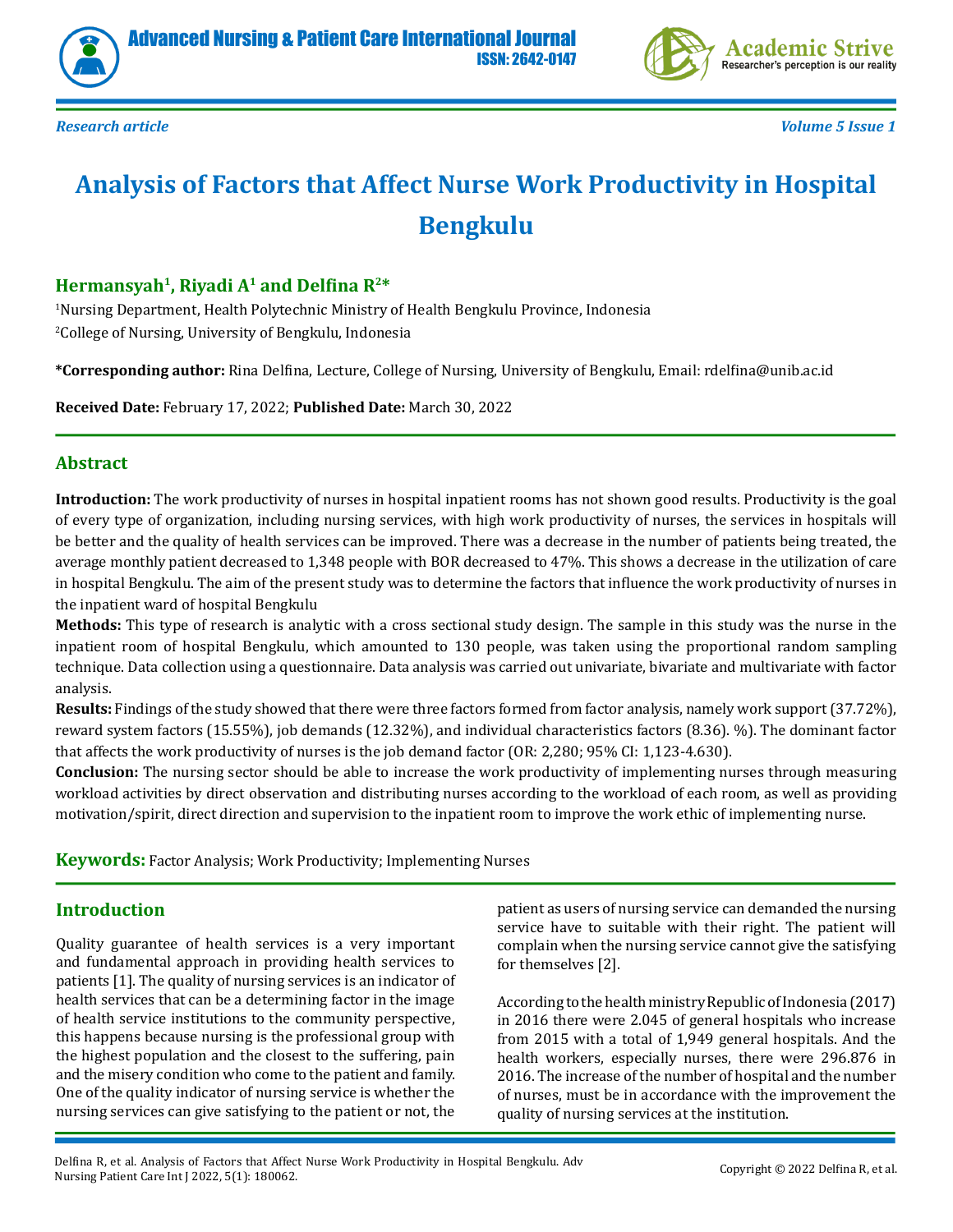



*Research article Volume 5 Issue 1*

# **Analysis of Factors that Affect Nurse Work Productivity in Hospital Bengkulu**

# **Hermansyah1, Riyadi A1 and Delfina R2\***

1 Nursing Department, Health Polytechnic Ministry of Health Bengkulu Province, Indonesia 2 College of Nursing, University of Bengkulu, Indonesia

**\*Corresponding author:** Rina Delfina, Lecture, College of Nursing, University of Bengkulu, Email: rdelfina@unib.ac.id

**Received Date:** February 17, 2022; **Published Date:** March 30, 2022

# **Abstract**

**Introduction:** The work productivity of nurses in hospital inpatient rooms has not shown good results. Productivity is the goal of every type of organization, including nursing services, with high work productivity of nurses, the services in hospitals will be better and the quality of health services can be improved. There was a decrease in the number of patients being treated, the average monthly patient decreased to 1,348 people with BOR decreased to 47%. This shows a decrease in the utilization of care in hospital Bengkulu. The aim of the present study was to determine the factors that influence the work productivity of nurses in the inpatient ward of hospital Bengkulu

**Methods:** This type of research is analytic with a cross sectional study design. The sample in this study was the nurse in the inpatient room of hospital Bengkulu, which amounted to 130 people, was taken using the proportional random sampling technique. Data collection using a questionnaire. Data analysis was carried out univariate, bivariate and multivariate with factor analysis.

**Results:** Findings of the study showed that there were three factors formed from factor analysis, namely work support (37.72%), reward system factors (15.55%), job demands (12.32%), and individual characteristics factors (8.36). %). The dominant factor that affects the work productivity of nurses is the job demand factor (OR: 2,280; 95% CI: 1,123-4.630).

**Conclusion:** The nursing sector should be able to increase the work productivity of implementing nurses through measuring workload activities by direct observation and distributing nurses according to the workload of each room, as well as providing motivation/spirit, direct direction and supervision to the inpatient room to improve the work ethic of implementing nurse.

**Keywords:** Factor Analysis; Work Productivity; Implementing Nurses

# **Introduction**

Quality guarantee of health services is a very important and fundamental approach in providing health services to patients [1]. The quality of nursing services is an indicator of health services that can be a determining factor in the image of health service institutions to the community perspective, this happens because nursing is the professional group with the highest population and the closest to the suffering, pain and the misery condition who come to the patient and family. One of the quality indicator of nursing service is whether the nursing services can give satisfying to the patient or not, the

patient as users of nursing service can demanded the nursing service have to suitable with their right. The patient will complain when the nursing service cannot give the satisfying for themselves [2].

According to the health ministry Republic of Indonesia (2017) in 2016 there were 2.045 of general hospitals who increase from 2015 with a total of 1,949 general hospitals. And the health workers, especially nurses, there were 296.876 in 2016. The increase of the number of hospital and the number of nurses, must be in accordance with the improvement the quality of nursing services at the institution.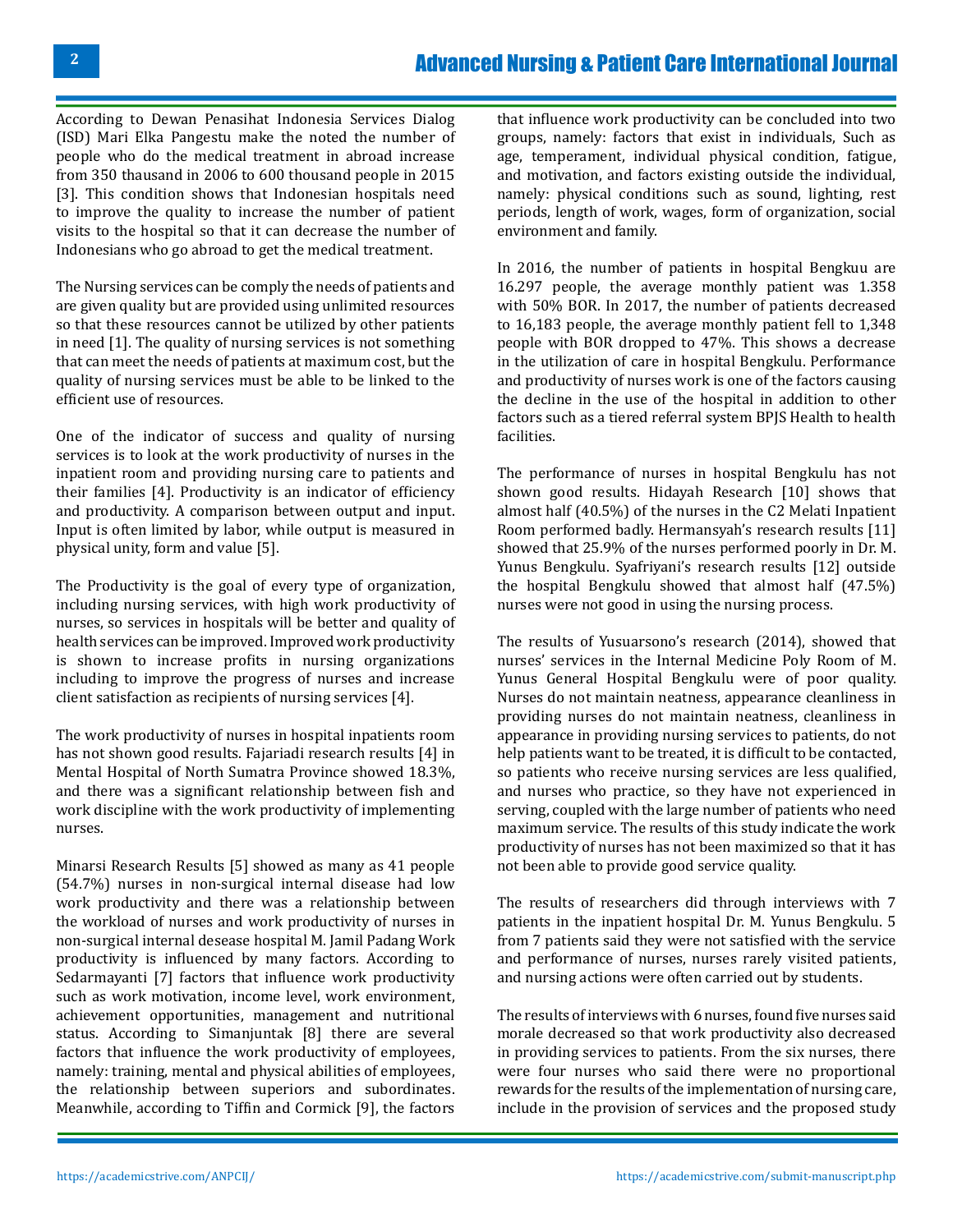According to Dewan Penasihat Indonesia Services Dialog (ISD) Mari Elka Pangestu make the noted the number of people who do the medical treatment in abroad increase from 350 thausand in 2006 to 600 thousand people in 2015 [3]. This condition shows that Indonesian hospitals need to improve the quality to increase the number of patient visits to the hospital so that it can decrease the number of Indonesians who go abroad to get the medical treatment.

The Nursing services can be comply the needs of patients and are given quality but are provided using unlimited resources so that these resources cannot be utilized by other patients in need [1]. The quality of nursing services is not something that can meet the needs of patients at maximum cost, but the quality of nursing services must be able to be linked to the efficient use of resources.

One of the indicator of success and quality of nursing services is to look at the work productivity of nurses in the inpatient room and providing nursing care to patients and their families [4]. Productivity is an indicator of efficiency and productivity. A comparison between output and input. Input is often limited by labor, while output is measured in physical unity, form and value [5].

The Productivity is the goal of every type of organization, including nursing services, with high work productivity of nurses, so services in hospitals will be better and quality of health services can be improved. Improved work productivity is shown to increase profits in nursing organizations including to improve the progress of nurses and increase client satisfaction as recipients of nursing services [4].

The work productivity of nurses in hospital inpatients room has not shown good results. Fajariadi research results [4] in Mental Hospital of North Sumatra Province showed 18.3%, and there was a significant relationship between fish and work discipline with the work productivity of implementing nurses.

Minarsi Research Results [5] showed as many as 41 people (54.7%) nurses in non-surgical internal disease had low work productivity and there was a relationship between the workload of nurses and work productivity of nurses in non-surgical internal desease hospital M. Jamil Padang Work productivity is influenced by many factors. According to Sedarmayanti [7] factors that influence work productivity such as work motivation, income level, work environment, achievement opportunities, management and nutritional status. According to Simanjuntak [8] there are several factors that influence the work productivity of employees, namely: training, mental and physical abilities of employees, the relationship between superiors and subordinates. Meanwhile, according to Tiffin and Cormick [9], the factors

that influence work productivity can be concluded into two groups, namely: factors that exist in individuals, Such as age, temperament, individual physical condition, fatigue, and motivation, and factors existing outside the individual, namely: physical conditions such as sound, lighting, rest periods, length of work, wages, form of organization, social environment and family.

In 2016, the number of patients in hospital Bengkuu are 16.297 people, the average monthly patient was 1.358 with 50% BOR. In 2017, the number of patients decreased to 16,183 people, the average monthly patient fell to 1,348 people with BOR dropped to 47%. This shows a decrease in the utilization of care in hospital Bengkulu. Performance and productivity of nurses work is one of the factors causing the decline in the use of the hospital in addition to other factors such as a tiered referral system BPJS Health to health facilities.

The performance of nurses in hospital Bengkulu has not shown good results. Hidayah Research [10] shows that almost half (40.5%) of the nurses in the C2 Melati Inpatient Room performed badly. Hermansyah's research results [11] showed that 25.9% of the nurses performed poorly in Dr. M. Yunus Bengkulu. Syafriyani's research results [12] outside the hospital Bengkulu showed that almost half (47.5%) nurses were not good in using the nursing process.

The results of Yusuarsono's research (2014), showed that nurses' services in the Internal Medicine Poly Room of M. Yunus General Hospital Bengkulu were of poor quality. Nurses do not maintain neatness, appearance cleanliness in providing nurses do not maintain neatness, cleanliness in appearance in providing nursing services to patients, do not help patients want to be treated, it is difficult to be contacted, so patients who receive nursing services are less qualified, and nurses who practice, so they have not experienced in serving, coupled with the large number of patients who need maximum service. The results of this study indicate the work productivity of nurses has not been maximized so that it has not been able to provide good service quality.

The results of researchers did through interviews with 7 patients in the inpatient hospital Dr. M. Yunus Bengkulu. 5 from 7 patients said they were not satisfied with the service and performance of nurses, nurses rarely visited patients, and nursing actions were often carried out by students.

The results of interviews with 6 nurses, found five nurses said morale decreased so that work productivity also decreased in providing services to patients. From the six nurses, there were four nurses who said there were no proportional rewards for the results of the implementation of nursing care, include in the provision of services and the proposed study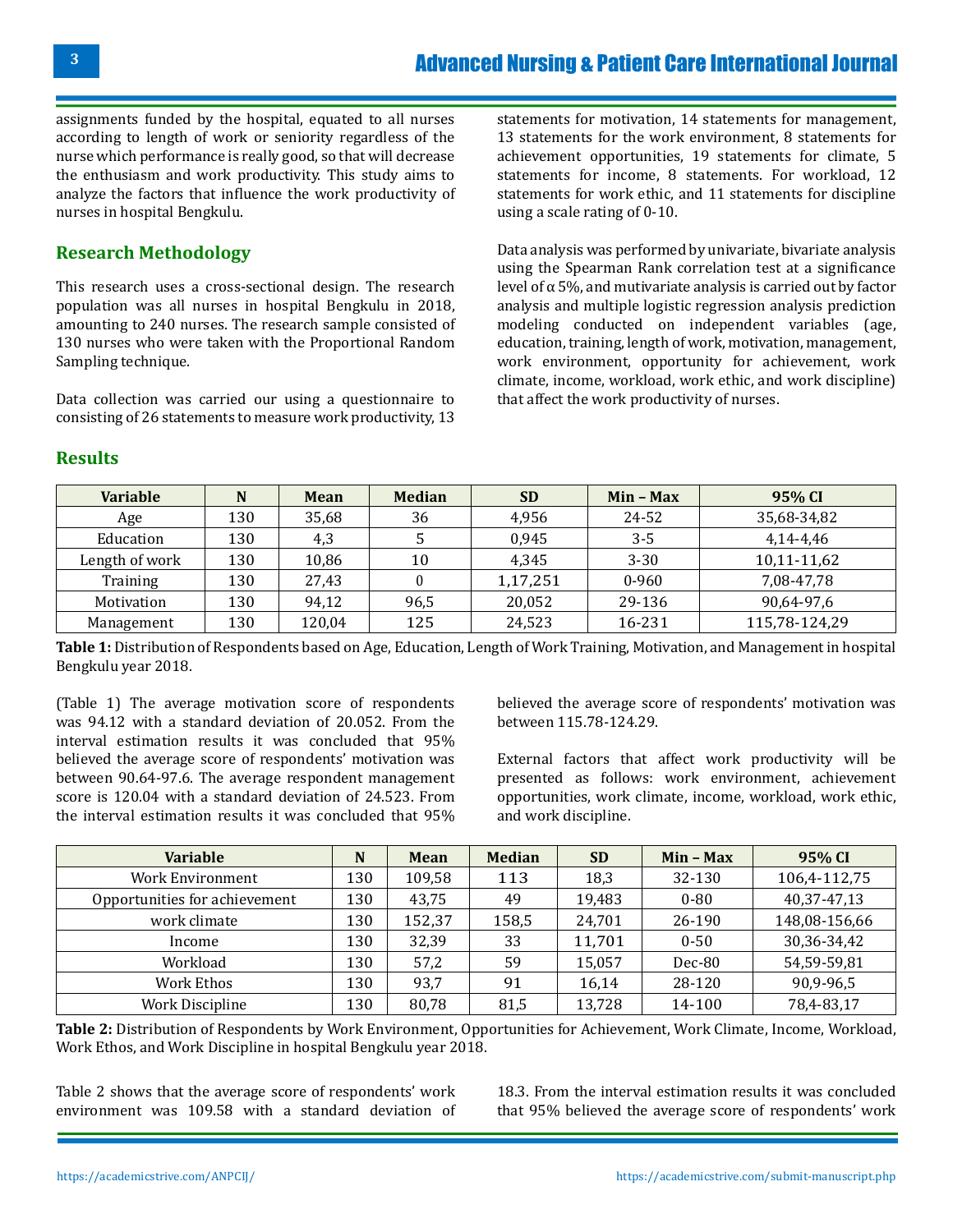assignments funded by the hospital, equated to all nurses according to length of work or seniority regardless of the nurse which performance is really good, so that will decrease the enthusiasm and work productivity. This study aims to analyze the factors that influence the work productivity of nurses in hospital Bengkulu.

# **Research Methodology**

This research uses a cross-sectional design. The research population was all nurses in hospital Bengkulu in 2018, amounting to 240 nurses. The research sample consisted of 130 nurses who were taken with the Proportional Random Sampling technique.

Data collection was carried our using a questionnaire to consisting of 26 statements to measure work productivity, 13

statements for motivation, 14 statements for management, 13 statements for the work environment, 8 statements for achievement opportunities, 19 statements for climate, 5 statements for income, 8 statements. For workload, 12 statements for work ethic, and 11 statements for discipline using a scale rating of 0-10.

Data analysis was performed by univariate, bivariate analysis using the Spearman Rank correlation test at a significance level of α 5%, and mutivariate analysis is carried out by factor analysis and multiple logistic regression analysis prediction modeling conducted on independent variables (age, education, training, length of work, motivation, management, work environment, opportunity for achievement, work climate, income, workload, work ethic, and work discipline) that affect the work productivity of nurses.

| <b>Variable</b> | N   | Mean   | <b>Median</b> | <b>SD</b> | $Min - Max$ | 95% CI        |
|-----------------|-----|--------|---------------|-----------|-------------|---------------|
| Age             | 130 | 35,68  | 36            | 4,956     | 24-52       | 35,68-34,82   |
| Education       | 130 | 4,3    |               | 0.945     | $3 - 5$     | 4,14-4,46     |
| Length of work  | 130 | 10.86  | 10            | 4.345     | $3 - 30$    | 10,11-11,62   |
| Training        | 130 | 27,43  |               | 1,17,251  | $0 - 960$   | 7,08-47,78    |
| Motivation      | 130 | 94.12  | 96,5          | 20,052    | 29-136      | 90,64-97,6    |
| Management      | 130 | 120,04 | 125           | 24,523    | 16-231      | 115,78-124,29 |

**Table 1:** Distribution of Respondents based on Age, Education, Length of Work Training, Motivation, and Management in hospital Bengkulu year 2018.

(Table 1) The average motivation score of respondents was 94.12 with a standard deviation of 20.052. From the interval estimation results it was concluded that 95% believed the average score of respondents' motivation was between 90.64-97.6. The average respondent management score is 120.04 with a standard deviation of 24.523. From the interval estimation results it was concluded that 95%

believed the average score of respondents' motivation was between 115.78-124.29.

External factors that affect work productivity will be presented as follows: work environment, achievement opportunities, work climate, income, workload, work ethic, and work discipline.

| <b>Variable</b>               | N   | <b>Mean</b> | <b>Median</b> | <b>SD</b> | $Min - Max$ | 95% CI        |
|-------------------------------|-----|-------------|---------------|-----------|-------------|---------------|
| <b>Work Environment</b>       | 130 | 109,58      | 113           | 18,3      | 32-130      | 106,4-112,75  |
| Opportunities for achievement | 130 | 43,75       | 49            | 19,483    | $0 - 80$    | 40,37-47,13   |
| work climate                  | 130 | 152,37      | 158,5         | 24,701    | 26-190      | 148,08-156,66 |
| Income                        | 130 | 32,39       | 33            | 11,701    | $0 - 50$    | 30,36-34,42   |
| Workload                      | 130 | 57,2        | 59            | 15,057    | Dec-80      | 54,59-59,81   |
| Work Ethos                    | 130 | 93,7        | 91            | 16,14     | 28-120      | 90,9-96,5     |
| Work Discipline               | 130 | 80,78       | 81,5          | 13,728    | 14-100      | 78,4-83,17    |

**Table 2:** Distribution of Respondents by Work Environment, Opportunities for Achievement, Work Climate, Income, Workload, Work Ethos, and Work Discipline in hospital Bengkulu year 2018.

Table 2 shows that the average score of respondents' work environment was 109.58 with a standard deviation of 18.3. From the interval estimation results it was concluded that 95% believed the average score of respondents' work

**Results**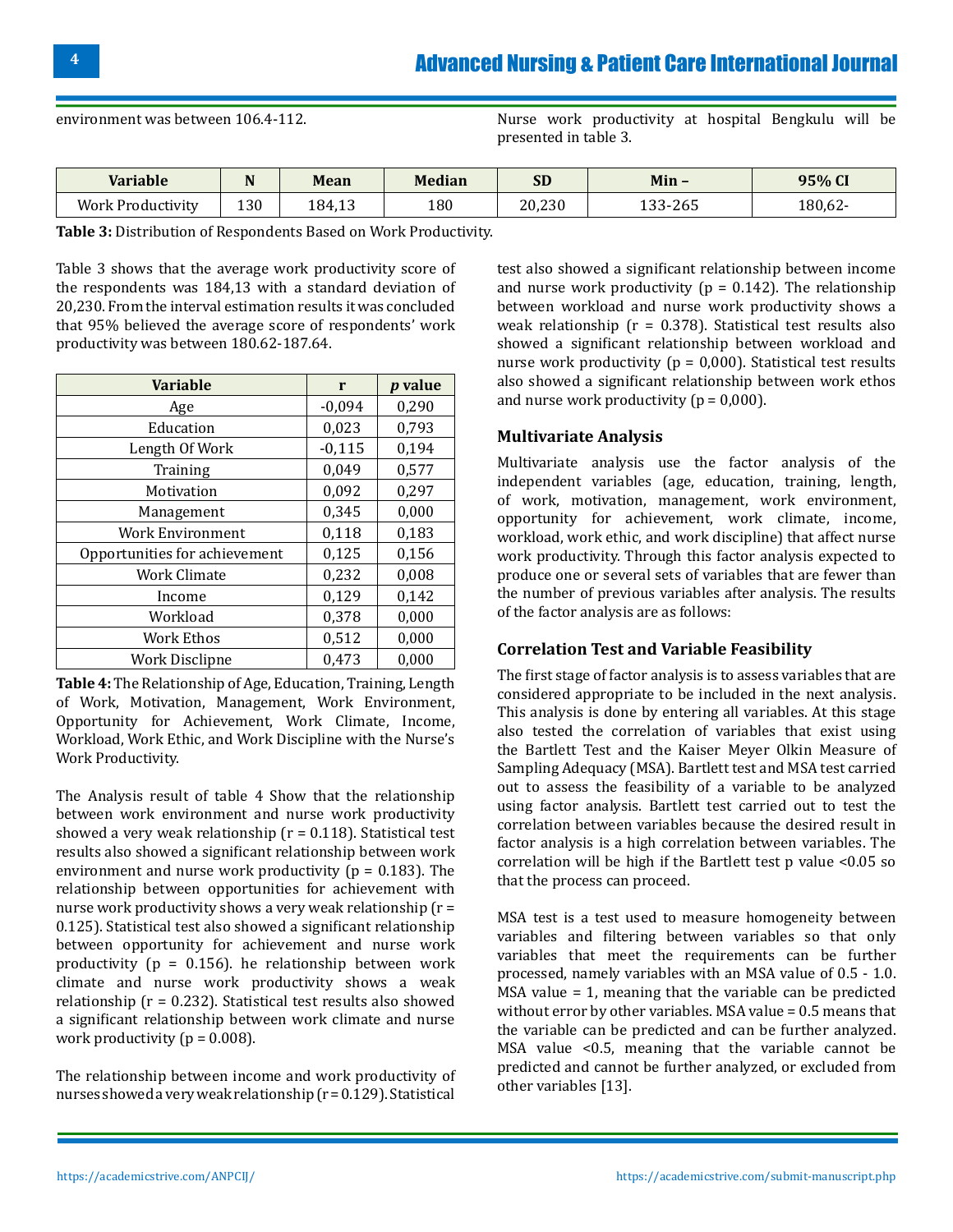environment was between 106.4-112. Nurse work productivity at hospital Bengkulu will be presented in table 3.

| <b>Variable</b>          | --  | Mean   | <b>Median</b> | $\mathbf{C}$<br>2r | $Min -$        | 95% CI |
|--------------------------|-----|--------|---------------|--------------------|----------------|--------|
| <b>Work Productivity</b> | 130 | 184,13 | 180           | 20,230             | -265<br>$\sim$ | 180,62 |

**Table 3:** Distribution of Respondents Based on Work Productivity.

Table 3 shows that the average work productivity score of the respondents was 184,13 with a standard deviation of 20,230. From the interval estimation results it was concluded that 95% believed the average score of respondents' work productivity was between 180.62-187.64.

| <b>Variable</b>               | r        | <i>p</i> value |
|-------------------------------|----------|----------------|
| Age                           | $-0,094$ | 0,290          |
| Education                     | 0,023    | 0,793          |
| Length Of Work                | $-0,115$ | 0,194          |
| Training                      | 0,049    | 0,577          |
| Motivation                    | 0,092    | 0,297          |
| Management                    | 0,345    | 0,000          |
| <b>Work Environment</b>       | 0,118    | 0,183          |
| Opportunities for achievement | 0,125    | 0,156          |
| <b>Work Climate</b>           | 0,232    | 0,008          |
| Income                        | 0,129    | 0,142          |
| Workload                      | 0,378    | 0,000          |
| Work Ethos                    | 0,512    | 0,000          |
| Work Disclipne                | 0,473    | 0,000          |

**Table 4:** The Relationship of Age, Education, Training, Length of Work, Motivation, Management, Work Environment, Opportunity for Achievement, Work Climate, Income, Workload, Work Ethic, and Work Discipline with the Nurse's Work Productivity.

The Analysis result of table 4 Show that the relationship between work environment and nurse work productivity showed a very weak relationship ( $r = 0.118$ ). Statistical test results also showed a significant relationship between work environment and nurse work productivity ( $p = 0.183$ ). The relationship between opportunities for achievement with nurse work productivity shows a very weak relationship (r = 0.125). Statistical test also showed a significant relationship between opportunity for achievement and nurse work productivity ( $p = 0.156$ ). he relationship between work climate and nurse work productivity shows a weak relationship (r = 0.232). Statistical test results also showed a significant relationship between work climate and nurse work productivity ( $p = 0.008$ ).

The relationship between income and work productivity of nurses showed a very weak relationship (r = 0.129). Statistical

test also showed a significant relationship between income and nurse work productivity ( $p = 0.142$ ). The relationship between workload and nurse work productivity shows a weak relationship ( $r = 0.378$ ). Statistical test results also showed a significant relationship between workload and nurse work productivity ( $p = 0,000$ ). Statistical test results also showed a significant relationship between work ethos and nurse work productivity ( $p = 0,000$ ).

### **Multivariate Analysis**

Multivariate analysis use the factor analysis of the independent variables (age, education, training, length, of work, motivation, management, work environment, opportunity for achievement, work climate, income, workload, work ethic, and work discipline) that affect nurse work productivity. Through this factor analysis expected to produce one or several sets of variables that are fewer than the number of previous variables after analysis. The results of the factor analysis are as follows:

#### **Correlation Test and Variable Feasibility**

The first stage of factor analysis is to assess variables that are considered appropriate to be included in the next analysis. This analysis is done by entering all variables. At this stage also tested the correlation of variables that exist using the Bartlett Test and the Kaiser Meyer Olkin Measure of Sampling Adequacy (MSA). Bartlett test and MSA test carried out to assess the feasibility of a variable to be analyzed using factor analysis. Bartlett test carried out to test the correlation between variables because the desired result in factor analysis is a high correlation between variables. The correlation will be high if the Bartlett test p value <0.05 so that the process can proceed.

MSA test is a test used to measure homogeneity between variables and filtering between variables so that only variables that meet the requirements can be further processed, namely variables with an MSA value of 0.5 - 1.0. MSA value = 1, meaning that the variable can be predicted without error by other variables. MSA value = 0.5 means that the variable can be predicted and can be further analyzed. MSA value <0.5, meaning that the variable cannot be predicted and cannot be further analyzed, or excluded from other variables [13].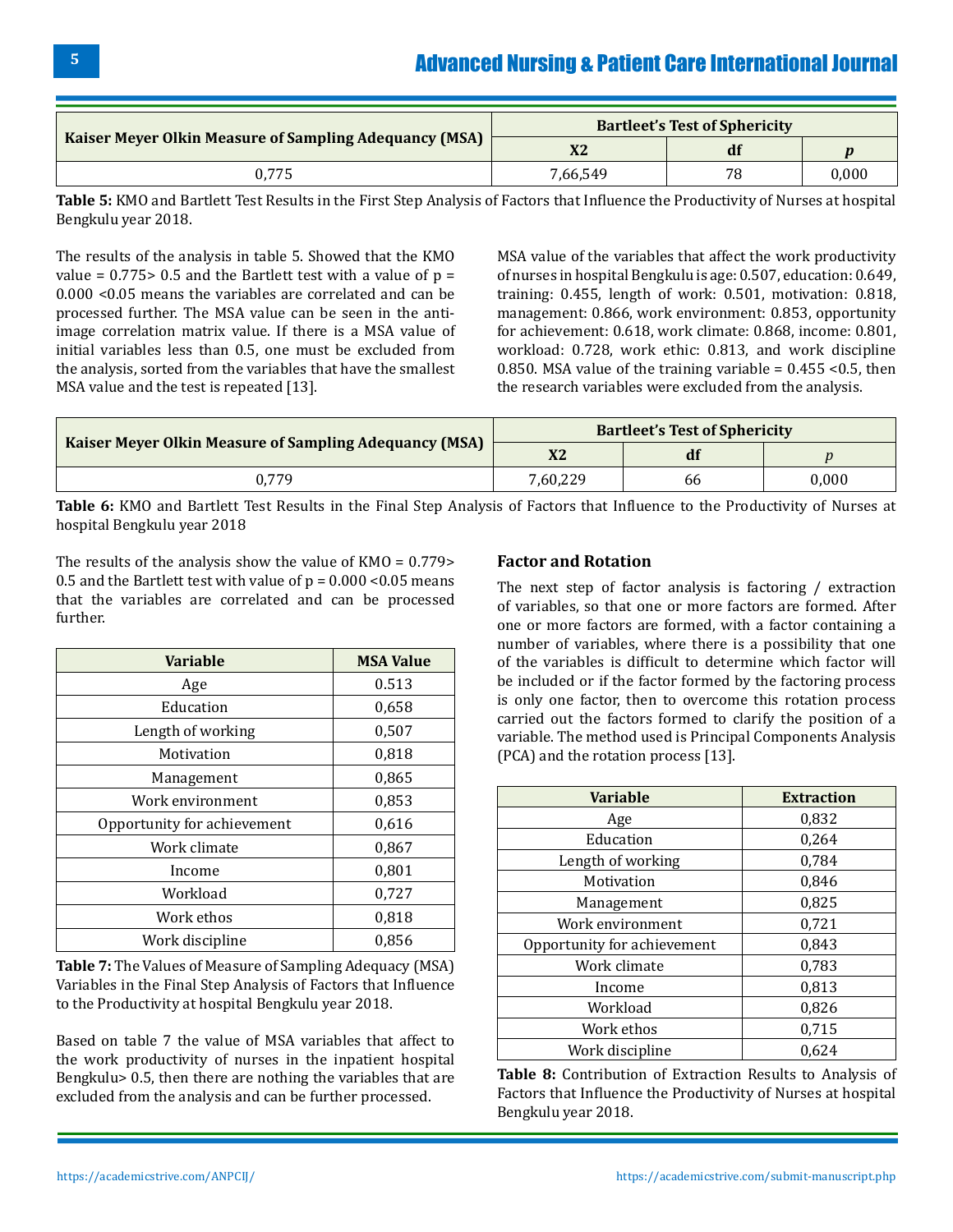|                                                               | <b>Bartleet's Test of Sphericity</b> |    |       |  |
|---------------------------------------------------------------|--------------------------------------|----|-------|--|
| <b>Kaiser Meyer Olkin Measure of Sampling Adequancy (MSA)</b> | X2                                   | df |       |  |
|                                                               | 7,66,549                             | 78 | 0.000 |  |

**Table 5:** KMO and Bartlett Test Results in the First Step Analysis of Factors that Influence the Productivity of Nurses at hospital Bengkulu year 2018.

The results of the analysis in table 5. Showed that the KMO value =  $0.775$  > 0.5 and the Bartlett test with a value of  $p =$ 0.000 <0.05 means the variables are correlated and can be processed further. The MSA value can be seen in the antiimage correlation matrix value. If there is a MSA value of initial variables less than 0.5, one must be excluded from the analysis, sorted from the variables that have the smallest MSA value and the test is repeated [13].

MSA value of the variables that affect the work productivity of nurses in hospital Bengkulu is age: 0.507, education: 0.649, training: 0.455, length of work: 0.501, motivation: 0.818, management: 0.866, work environment: 0.853, opportunity for achievement: 0.618, work climate: 0.868, income: 0.801, workload: 0.728, work ethic: 0.813, and work discipline 0.850. MSA value of the training variable =  $0.455$  < 0.5, then the research variables were excluded from the analysis.

|                                                               | <b>Bartleet's Test of Sphericity</b> |    |           |  |
|---------------------------------------------------------------|--------------------------------------|----|-----------|--|
| <b>Kaiser Meyer Olkin Measure of Sampling Adequancy (MSA)</b> | X2                                   | df |           |  |
| 0.779                                                         | 7.60.229                             | 66 | $0.000\,$ |  |

**Table 6:** KMO and Bartlett Test Results in the Final Step Analysis of Factors that Influence to the Productivity of Nurses at hospital Bengkulu year 2018

The results of the analysis show the value of KMO = 0.779> 0.5 and the Bartlett test with value of  $p = 0.000$  <0.05 means that the variables are correlated and can be processed further.

| <b>Variable</b>             | <b>MSA Value</b> |
|-----------------------------|------------------|
| Age                         | 0.513            |
| Education                   | 0,658            |
| Length of working           | 0,507            |
| Motivation                  | 0,818            |
| Management                  | 0,865            |
| Work environment            | 0,853            |
| Opportunity for achievement | 0,616            |
| Work climate                | 0,867            |
| Income                      | 0,801            |
| Workload                    | 0,727            |
| Work ethos                  | 0,818            |
| Work discipline             | 0,856            |

**Table 7:** The Values of Measure of Sampling Adequacy (MSA) Variables in the Final Step Analysis of Factors that Influence to the Productivity at hospital Bengkulu year 2018.

Based on table 7 the value of MSA variables that affect to the work productivity of nurses in the inpatient hospital Bengkulu> 0.5, then there are nothing the variables that are excluded from the analysis and can be further processed.

### **Factor and Rotation**

The next step of factor analysis is factoring / extraction of variables, so that one or more factors are formed. After one or more factors are formed, with a factor containing a number of variables, where there is a possibility that one of the variables is difficult to determine which factor will be included or if the factor formed by the factoring process is only one factor, then to overcome this rotation process carried out the factors formed to clarify the position of a variable. The method used is Principal Components Analysis (PCA) and the rotation process [13].

| <b>Variable</b>             | <b>Extraction</b> |
|-----------------------------|-------------------|
| Age                         | 0,832             |
| Education                   | 0,264             |
| Length of working           | 0,784             |
| Motivation                  | 0,846             |
| Management                  | 0,825             |
| Work environment            | 0,721             |
| Opportunity for achievement | 0,843             |
| Work climate                | 0,783             |
| Income                      | 0,813             |
| Workload                    | 0,826             |
| Work ethos                  | 0,715             |
| Work discipline             | 0,624             |

**Table 8:** Contribution of Extraction Results to Analysis of Factors that Influence the Productivity of Nurses at hospital Bengkulu year 2018.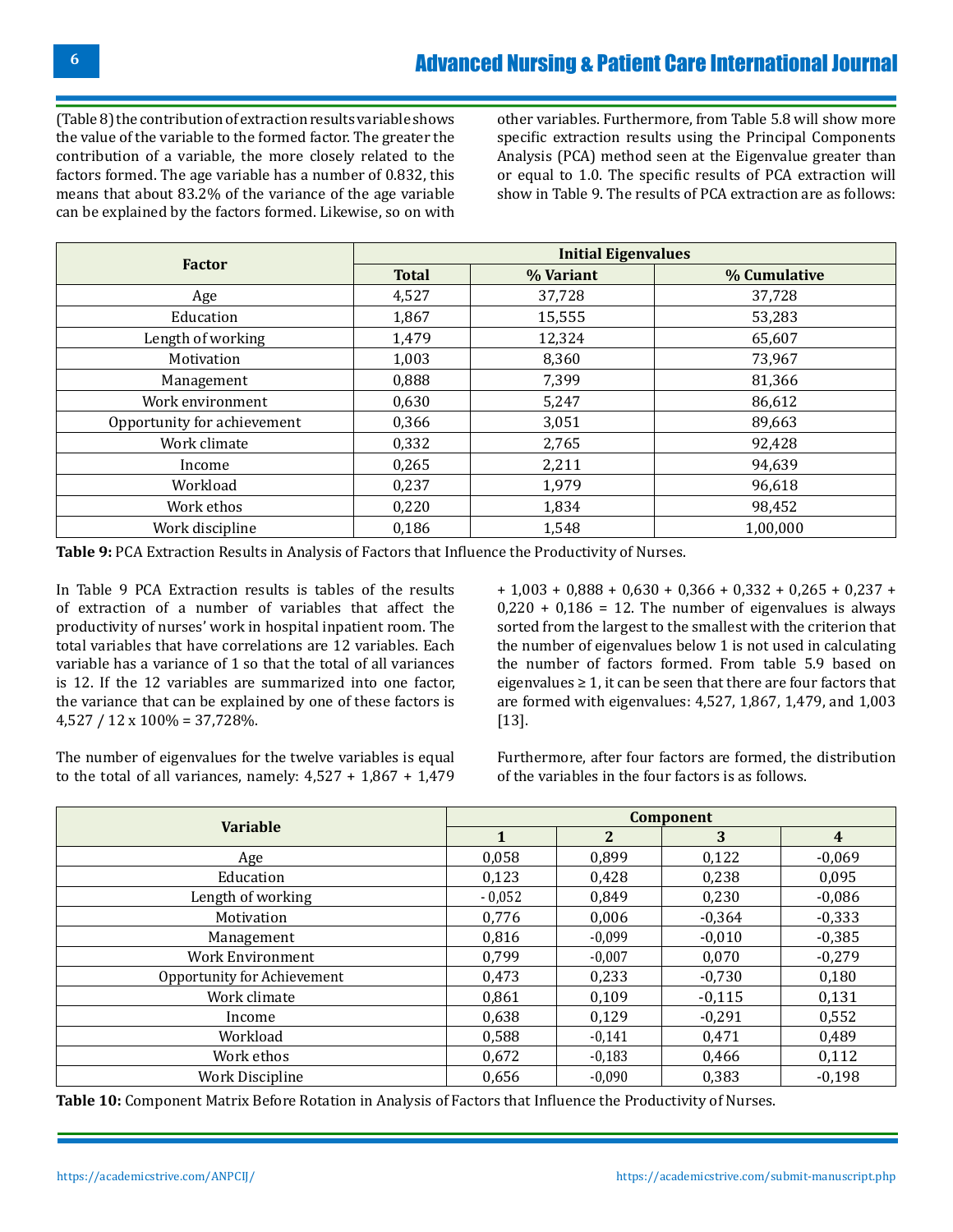(Table 8) the contribution of extraction results variable shows the value of the variable to the formed factor. The greater the contribution of a variable, the more closely related to the factors formed. The age variable has a number of 0.832, this means that about 83.2% of the variance of the age variable can be explained by the factors formed. Likewise, so on with

other variables. Furthermore, from Table 5.8 will show more specific extraction results using the Principal Components Analysis (PCA) method seen at the Eigenvalue greater than or equal to 1.0. The specific results of PCA extraction will show in Table 9. The results of PCA extraction are as follows:

|                             |              | <b>Initial Eigenvalues</b> |              |  |  |  |  |
|-----------------------------|--------------|----------------------------|--------------|--|--|--|--|
| <b>Factor</b>               | <b>Total</b> | % Variant                  | % Cumulative |  |  |  |  |
| Age                         | 4,527        | 37,728                     | 37,728       |  |  |  |  |
| Education                   | 1,867        | 15,555                     | 53,283       |  |  |  |  |
| Length of working           | 1,479        | 12,324                     | 65,607       |  |  |  |  |
| Motivation                  | 1,003        | 8,360                      | 73,967       |  |  |  |  |
| Management                  | 0,888        | 7,399                      | 81,366       |  |  |  |  |
| Work environment            | 0,630        | 5,247                      | 86,612       |  |  |  |  |
| Opportunity for achievement | 0,366        | 3,051                      | 89,663       |  |  |  |  |
| Work climate                | 0,332        | 2,765                      | 92,428       |  |  |  |  |
| Income                      | 0,265        | 2,211                      | 94,639       |  |  |  |  |
| Workload                    | 0,237        | 1,979                      | 96,618       |  |  |  |  |
| Work ethos                  | 0,220        | 1,834                      | 98,452       |  |  |  |  |
| Work discipline             | 0,186        | 1,548                      | 1,00,000     |  |  |  |  |

**Table 9:** PCA Extraction Results in Analysis of Factors that Influence the Productivity of Nurses.

In Table 9 PCA Extraction results is tables of the results of extraction of a number of variables that affect the productivity of nurses' work in hospital inpatient room. The total variables that have correlations are 12 variables. Each variable has a variance of 1 so that the total of all variances is 12. If the 12 variables are summarized into one factor, the variance that can be explained by one of these factors is  $4,527 / 12 \times 100\% = 37,728\%$ .

+ 1,003 + 0,888 + 0,630 + 0,366 + 0,332 + 0,265 + 0,237 +  $0,220 + 0,186 = 12$ . The number of eigenvalues is always sorted from the largest to the smallest with the criterion that the number of eigenvalues below 1 is not used in calculating the number of factors formed. From table 5.9 based on eigenvalues  $\geq 1$ , it can be seen that there are four factors that are formed with eigenvalues: 4,527, 1,867, 1,479, and 1,003 [13].

The number of eigenvalues for the twelve variables is equal to the total of all variances, namely:  $4,527 + 1,867 + 1,479$ 

Furthermore, after four factors are formed, the distribution of the variables in the four factors is as follows.

| <b>Variable</b>             | Component |                |          |                |  |  |
|-----------------------------|-----------|----------------|----------|----------------|--|--|
|                             | 1         | $\overline{2}$ | 3        | $\overline{4}$ |  |  |
| Age                         | 0,058     | 0,899          | 0,122    | $-0,069$       |  |  |
| Education                   | 0,123     | 0,428          | 0,238    | 0,095          |  |  |
| Length of working           | $-0,052$  | 0,849          | 0,230    | $-0,086$       |  |  |
| Motivation                  | 0,776     | 0,006          | $-0,364$ | $-0,333$       |  |  |
| Management                  | 0,816     | $-0,099$       | $-0,010$ | $-0,385$       |  |  |
| <b>Work Environment</b>     | 0.799     | $-0,007$       | 0,070    | $-0,279$       |  |  |
| Opportunity for Achievement | 0,473     | 0,233          | $-0,730$ | 0,180          |  |  |
| Work climate                | 0,861     | 0,109          | $-0,115$ | 0,131          |  |  |
| Income                      | 0,638     | 0,129          | $-0,291$ | 0,552          |  |  |
| Workload                    | 0,588     | $-0,141$       | 0,471    | 0,489          |  |  |
| Work ethos                  | 0,672     | $-0,183$       | 0,466    | 0,112          |  |  |
| <b>Work Discipline</b>      | 0,656     | $-0.090$       | 0,383    | $-0,198$       |  |  |

**Table 10:** Component Matrix Before Rotation in Analysis of Factors that Influence the Productivity of Nurses.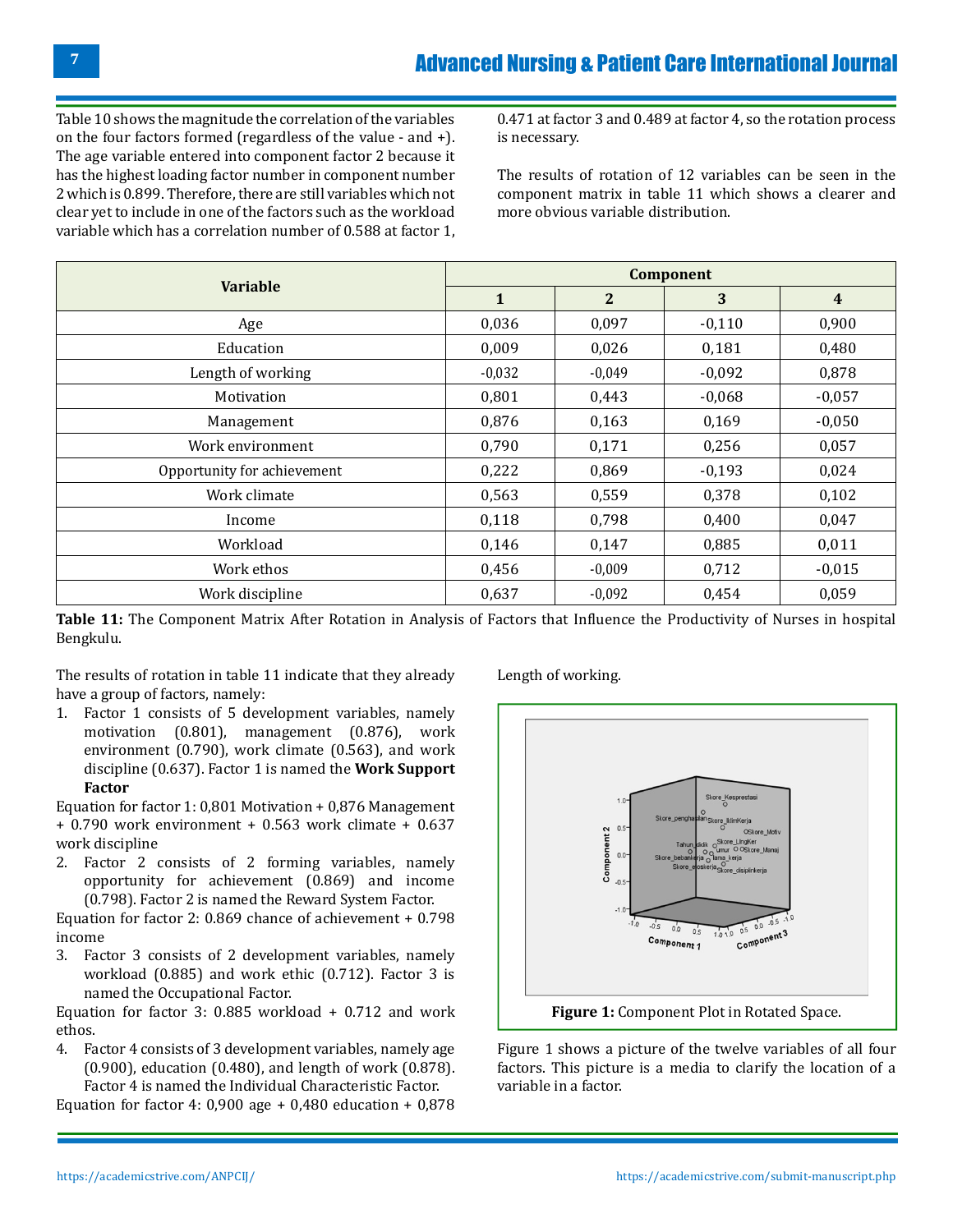Table 10 shows the magnitude the correlation of the variables on the four factors formed (regardless of the value - and +). The age variable entered into component factor 2 because it has the highest loading factor number in component number 2 which is 0.899. Therefore, there are still variables which not clear yet to include in one of the factors such as the workload variable which has a correlation number of 0.588 at factor 1,

0.471 at factor 3 and 0.489 at factor 4, so the rotation process is necessary.

The results of rotation of 12 variables can be seen in the component matrix in table 11 which shows a clearer and more obvious variable distribution.

|                             | Component    |              |          |                         |  |  |
|-----------------------------|--------------|--------------|----------|-------------------------|--|--|
| <b>Variable</b>             | $\mathbf{1}$ | $\mathbf{2}$ | 3        | $\overline{\mathbf{4}}$ |  |  |
| Age                         | 0,036        | 0,097        | $-0,110$ | 0,900                   |  |  |
| Education                   | 0,009        | 0,026        | 0,181    | 0,480                   |  |  |
| Length of working           | $-0,032$     | $-0,049$     | $-0,092$ | 0,878                   |  |  |
| Motivation                  | 0,801        | 0,443        | $-0,068$ | $-0,057$                |  |  |
| Management                  | 0,876        | 0,163        | 0,169    | $-0,050$                |  |  |
| Work environment            | 0,790        | 0,171        | 0,256    | 0,057                   |  |  |
| Opportunity for achievement | 0,222        | 0,869        | $-0,193$ | 0,024                   |  |  |
| Work climate                | 0,563        | 0,559        | 0,378    | 0,102                   |  |  |
| Income                      | 0,118        | 0,798        | 0,400    | 0,047                   |  |  |
| Workload                    | 0,146        | 0,147        | 0,885    | 0,011                   |  |  |
| Work ethos                  | 0,456        | $-0,009$     | 0,712    | $-0,015$                |  |  |
| Work discipline             | 0,637        | $-0,092$     | 0,454    | 0,059                   |  |  |

**Table 11:** The Component Matrix After Rotation in Analysis of Factors that Influence the Productivity of Nurses in hospital Bengkulu.

The results of rotation in table 11 indicate that they already have a group of factors, namely:

1. Factor 1 consists of 5 development variables, namely motivation (0.801), management (0.876), work environment (0.790), work climate (0.563), and work discipline (0.637). Factor 1 is named the **Work Support Factor**

Equation for factor 1: 0,801 Motivation + 0,876 Management + 0.790 work environment + 0.563 work climate + 0.637 work discipline

2. Factor 2 consists of 2 forming variables, namely opportunity for achievement (0.869) and income (0.798). Factor 2 is named the Reward System Factor.

Equation for factor 2: 0.869 chance of achievement + 0.798 income

3. Factor 3 consists of 2 development variables, namely workload (0.885) and work ethic (0.712). Factor 3 is named the Occupational Factor.

Equation for factor 3: 0.885 workload + 0.712 and work ethos.

4. Factor 4 consists of 3 development variables, namely age (0.900), education (0.480), and length of work (0.878). Factor 4 is named the Individual Characteristic Factor.

Equation for factor 4:  $0,900$  age +  $0,480$  education +  $0,878$ 

Length of working.



Figure 1 shows a picture of the twelve variables of all four factors. This picture is a media to clarify the location of a variable in a factor.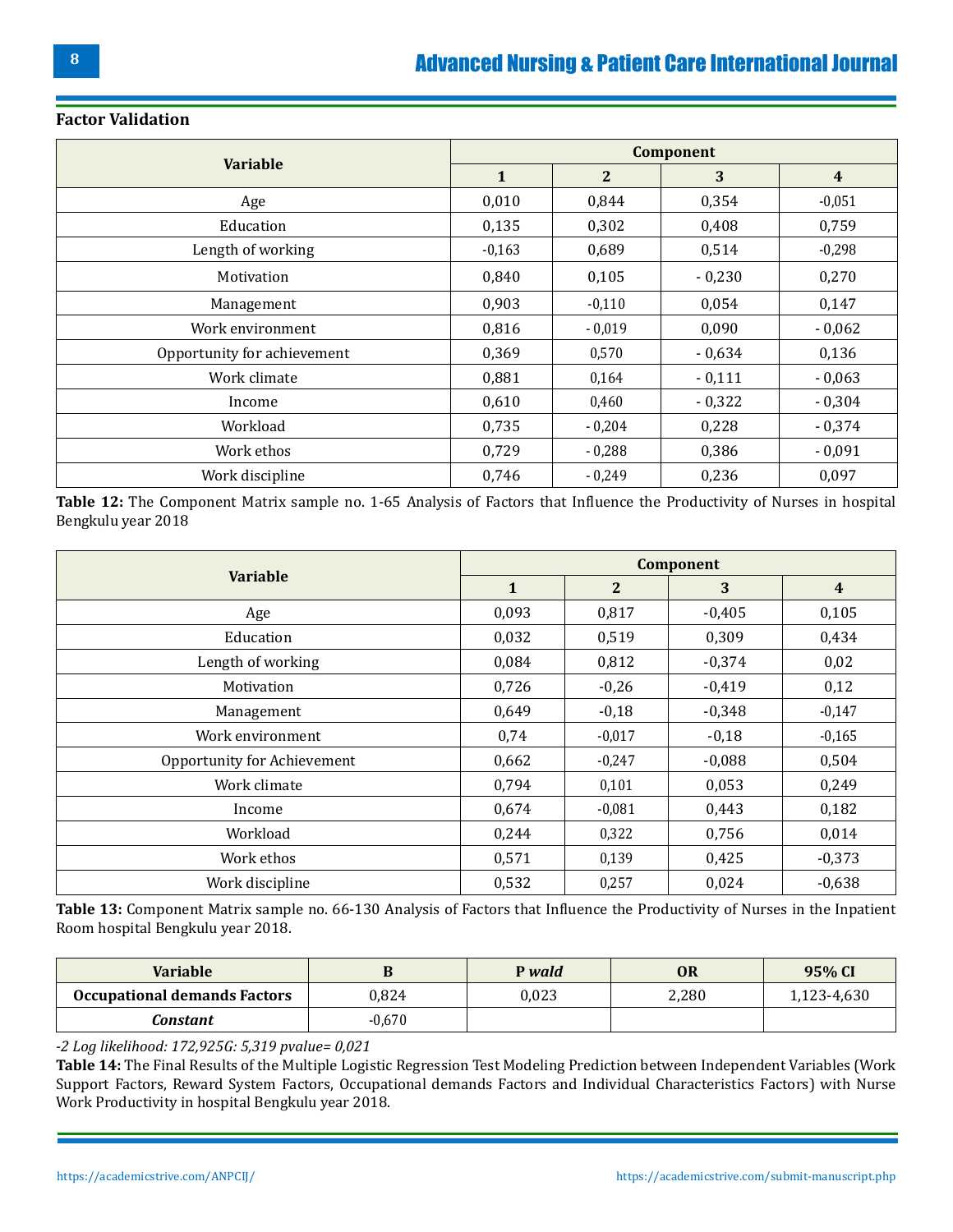|                             | Component |                |          |                |  |  |
|-----------------------------|-----------|----------------|----------|----------------|--|--|
| <b>Variable</b>             | 1         | $\overline{2}$ | 3        | $\overline{4}$ |  |  |
| Age                         | 0,010     | 0,844          | 0,354    | $-0,051$       |  |  |
| Education                   | 0,135     | 0,302          | 0,408    | 0,759          |  |  |
| Length of working           | $-0,163$  | 0,689          | 0,514    | $-0,298$       |  |  |
| Motivation                  | 0,840     | 0,105          | $-0,230$ | 0,270          |  |  |
| Management                  | 0,903     | $-0,110$       | 0,054    | 0,147          |  |  |
| Work environment            | 0,816     | $-0,019$       | 0,090    | $-0,062$       |  |  |
| Opportunity for achievement | 0,369     | 0,570          | $-0,634$ | 0,136          |  |  |
| Work climate                | 0,881     | 0,164          | $-0,111$ | $-0,063$       |  |  |
| Income                      | 0,610     | 0,460          | $-0,322$ | $-0,304$       |  |  |
| Workload                    | 0,735     | $-0.204$       | 0,228    | $-0,374$       |  |  |
| Work ethos                  | 0,729     | $-0,288$       | 0,386    | $-0,091$       |  |  |
| Work discipline             | 0,746     | $-0,249$       | 0,236    | 0,097          |  |  |

#### **Factor Validation**

**Table 12:** The Component Matrix sample no. 1-65 Analysis of Factors that Influence the Productivity of Nurses in hospital Bengkulu year 2018

| <b>Variable</b>             | <b>Component</b> |                |          |                |  |
|-----------------------------|------------------|----------------|----------|----------------|--|
|                             | $\mathbf{1}$     | $\overline{2}$ | 3        | $\overline{4}$ |  |
| Age                         | 0,093            | 0,817          | $-0,405$ | 0,105          |  |
| Education                   | 0,032            | 0,519          | 0,309    | 0,434          |  |
| Length of working           | 0,084            | 0,812          | $-0,374$ | 0,02           |  |
| Motivation                  | 0,726            | $-0,26$        | $-0,419$ | 0,12           |  |
| Management                  | 0,649            | $-0,18$        | $-0,348$ | $-0,147$       |  |
| Work environment            | 0,74             | $-0,017$       | $-0,18$  | $-0,165$       |  |
| Opportunity for Achievement | 0,662            | $-0,247$       | $-0,088$ | 0,504          |  |
| Work climate                | 0,794            | 0,101          | 0,053    | 0,249          |  |
| Income                      | 0,674            | $-0,081$       | 0,443    | 0,182          |  |
| Workload                    | 0,244            | 0,322          | 0,756    | 0,014          |  |
| Work ethos                  | 0,571            | 0,139          | 0,425    | $-0,373$       |  |
| Work discipline             | 0,532            | 0,257          | 0,024    | $-0,638$       |  |

**Table 13:** Component Matrix sample no. 66-130 Analysis of Factors that Influence the Productivity of Nurses in the Inpatient Room hospital Bengkulu year 2018.

| <b>Variable</b>                     |          | P wald | <b>OR</b> | 95% CI      |
|-------------------------------------|----------|--------|-----------|-------------|
| <b>Occupational demands Factors</b> | 0.824    | 0,023  | 2,280     | 1,123-4,630 |
| Constant                            | $-0.670$ |        |           |             |

*-2 Log likelihood: 172,925G: 5,319 pvalue= 0,021*

**Table 14:** The Final Results of the Multiple Logistic Regression Test Modeling Prediction between Independent Variables (Work Support Factors, Reward System Factors, Occupational demands Factors and Individual Characteristics Factors) with Nurse Work Productivity in hospital Bengkulu year 2018.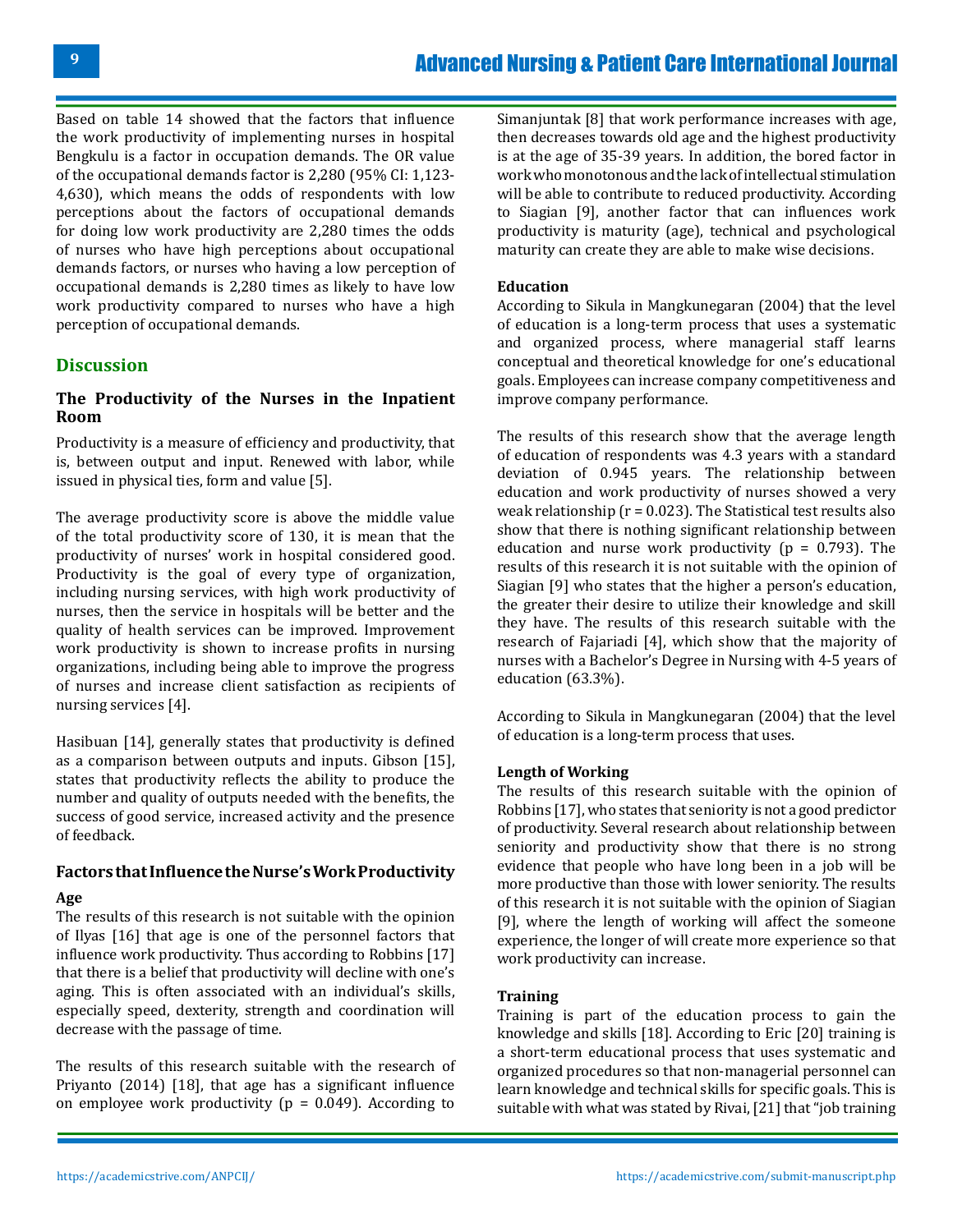Based on table 14 showed that the factors that influence the work productivity of implementing nurses in hospital Bengkulu is a factor in occupation demands. The OR value of the occupational demands factor is 2,280 (95% CI: 1,123- 4,630), which means the odds of respondents with low perceptions about the factors of occupational demands for doing low work productivity are 2,280 times the odds of nurses who have high perceptions about occupational demands factors, or nurses who having a low perception of occupational demands is 2,280 times as likely to have low work productivity compared to nurses who have a high perception of occupational demands.

### **Discussion**

### **The Productivity of the Nurses in the Inpatient Room**

Productivity is a measure of efficiency and productivity, that is, between output and input. Renewed with labor, while issued in physical ties, form and value [5].

The average productivity score is above the middle value of the total productivity score of 130, it is mean that the productivity of nurses' work in hospital considered good. Productivity is the goal of every type of organization, including nursing services, with high work productivity of nurses, then the service in hospitals will be better and the quality of health services can be improved. Improvement work productivity is shown to increase profits in nursing organizations, including being able to improve the progress of nurses and increase client satisfaction as recipients of nursing services [4].

Hasibuan [14], generally states that productivity is defined as a comparison between outputs and inputs. Gibson [15], states that productivity reflects the ability to produce the number and quality of outputs needed with the benefits, the success of good service, increased activity and the presence of feedback.

# **Factors that Influence the Nurse's Work Productivity**

### **Age**

The results of this research is not suitable with the opinion of Ilyas [16] that age is one of the personnel factors that influence work productivity. Thus according to Robbins [17] that there is a belief that productivity will decline with one's aging. This is often associated with an individual's skills, especially speed, dexterity, strength and coordination will decrease with the passage of time.

The results of this research suitable with the research of Priyanto (2014) [18], that age has a significant influence on employee work productivity ( $p = 0.049$ ). According to

Simanjuntak [8] that work performance increases with age, then decreases towards old age and the highest productivity is at the age of 35-39 years. In addition, the bored factor in work who monotonous and the lack of intellectual stimulation will be able to contribute to reduced productivity. According to Siagian [9], another factor that can influences work productivity is maturity (age), technical and psychological maturity can create they are able to make wise decisions.

#### **Education**

According to Sikula in Mangkunegaran (2004) that the level of education is a long-term process that uses a systematic and organized process, where managerial staff learns conceptual and theoretical knowledge for one's educational goals. Employees can increase company competitiveness and improve company performance.

The results of this research show that the average length of education of respondents was 4.3 years with a standard deviation of 0.945 years. The relationship between education and work productivity of nurses showed a very weak relationship ( $r = 0.023$ ). The Statistical test results also show that there is nothing significant relationship between education and nurse work productivity ( $p = 0.793$ ). The results of this research it is not suitable with the opinion of Siagian [9] who states that the higher a person's education, the greater their desire to utilize their knowledge and skill they have. The results of this research suitable with the research of Fajariadi [4], which show that the majority of nurses with a Bachelor's Degree in Nursing with 4-5 years of education (63.3%).

According to Sikula in Mangkunegaran (2004) that the level of education is a long-term process that uses.

#### **Length of Working**

The results of this research suitable with the opinion of Robbins [17], who states that seniority is not a good predictor of productivity. Several research about relationship between seniority and productivity show that there is no strong evidence that people who have long been in a job will be more productive than those with lower seniority. The results of this research it is not suitable with the opinion of Siagian [9], where the length of working will affect the someone experience, the longer of will create more experience so that work productivity can increase.

#### **Training**

Training is part of the education process to gain the knowledge and skills [18]. According to Eric [20] training is a short-term educational process that uses systematic and organized procedures so that non-managerial personnel can learn knowledge and technical skills for specific goals. This is suitable with what was stated by Rivai, [21] that "job training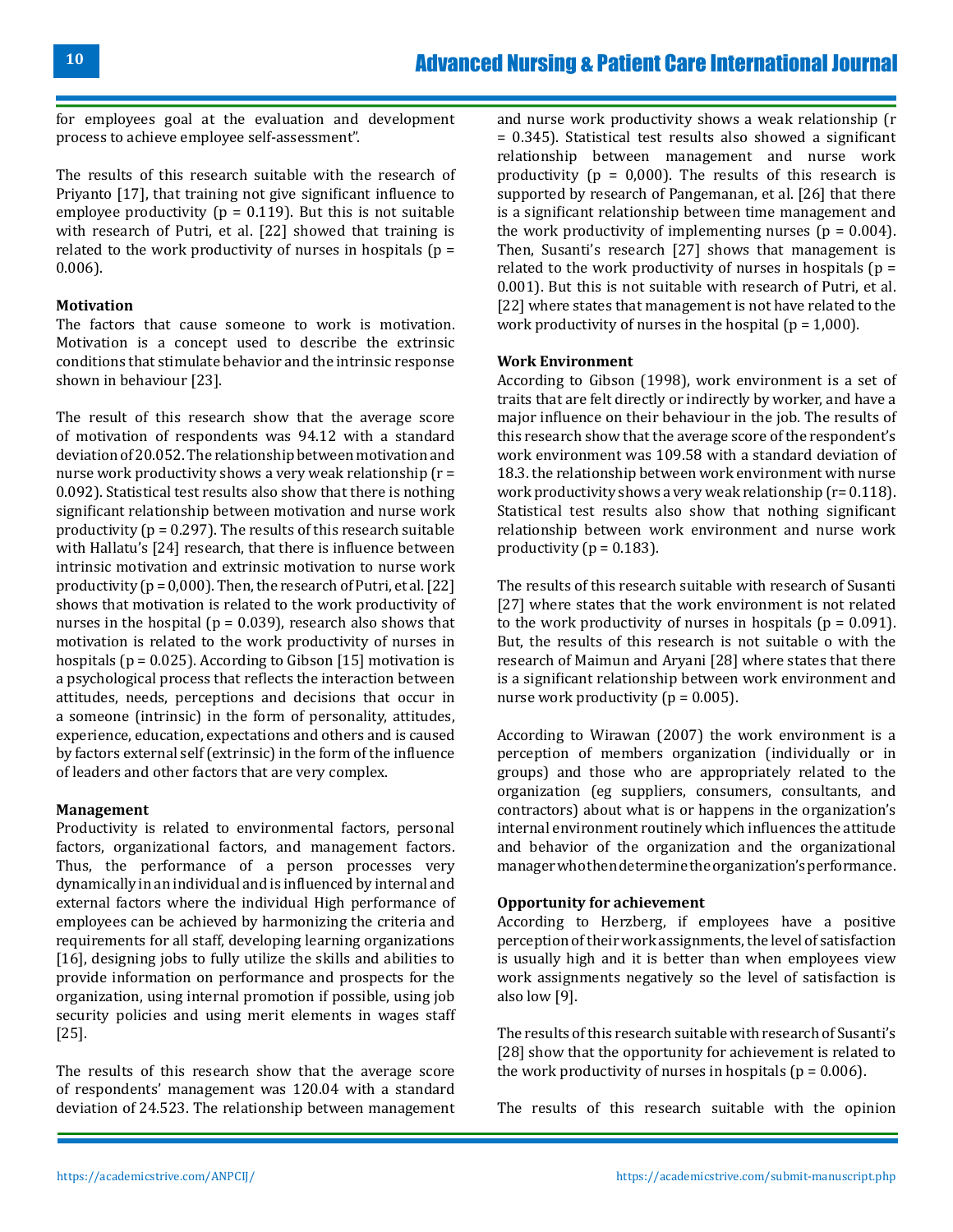for employees goal at the evaluation and development process to achieve employee self-assessment".

The results of this research suitable with the research of Priyanto [17], that training not give significant influence to employee productivity ( $p = 0.119$ ). But this is not suitable with research of Putri, et al. [22] showed that training is related to the work productivity of nurses in hospitals ( $p =$ 0.006).

#### **Motivation**

The factors that cause someone to work is motivation. Motivation is a concept used to describe the extrinsic conditions that stimulate behavior and the intrinsic response shown in behaviour [23].

The result of this research show that the average score of motivation of respondents was 94.12 with a standard deviation of 20.052. The relationship between motivation and nurse work productivity shows a very weak relationship (r = 0.092). Statistical test results also show that there is nothing significant relationship between motivation and nurse work productivity ( $p = 0.297$ ). The results of this research suitable with Hallatu's [24] research, that there is influence between intrinsic motivation and extrinsic motivation to nurse work productivity ( $p = 0.000$ ). Then, the research of Putri, et al. [22] shows that motivation is related to the work productivity of nurses in the hospital ( $p = 0.039$ ), research also shows that motivation is related to the work productivity of nurses in hospitals ( $p = 0.025$ ). According to Gibson [15] motivation is a psychological process that reflects the interaction between attitudes, needs, perceptions and decisions that occur in a someone (intrinsic) in the form of personality, attitudes, experience, education, expectations and others and is caused by factors external self (extrinsic) in the form of the influence of leaders and other factors that are very complex.

#### **Management**

Productivity is related to environmental factors, personal factors, organizational factors, and management factors. Thus, the performance of a person processes very dynamically in an individual and is influenced by internal and external factors where the individual High performance of employees can be achieved by harmonizing the criteria and requirements for all staff, developing learning organizations [16], designing jobs to fully utilize the skills and abilities to provide information on performance and prospects for the organization, using internal promotion if possible, using job security policies and using merit elements in wages staff [25].

The results of this research show that the average score of respondents' management was 120.04 with a standard deviation of 24.523. The relationship between management

and nurse work productivity shows a weak relationship (r = 0.345). Statistical test results also showed a significant relationship between management and nurse work productivity ( $p = 0.000$ ). The results of this research is supported by research of Pangemanan, et al. [26] that there is a significant relationship between time management and the work productivity of implementing nurses ( $p = 0.004$ ). Then, Susanti's research [27] shows that management is related to the work productivity of nurses in hospitals  $(p =$ 0.001). But this is not suitable with research of Putri, et al. [22] where states that management is not have related to the work productivity of nurses in the hospital ( $p = 1,000$ ).

#### **Work Environment**

According to Gibson (1998), work environment is a set of traits that are felt directly or indirectly by worker, and have a major influence on their behaviour in the job. The results of this research show that the average score of the respondent's work environment was 109.58 with a standard deviation of 18.3. the relationship between work environment with nurse work productivity shows a very weak relationship (r= 0.118). Statistical test results also show that nothing significant relationship between work environment and nurse work productivity ( $p = 0.183$ ).

The results of this research suitable with research of Susanti [27] where states that the work environment is not related to the work productivity of nurses in hospitals ( $p = 0.091$ ). But, the results of this research is not suitable o with the research of Maimun and Aryani [28] where states that there is a significant relationship between work environment and nurse work productivity ( $p = 0.005$ ).

According to Wirawan (2007) the work environment is a perception of members organization (individually or in groups) and those who are appropriately related to the organization (eg suppliers, consumers, consultants, and contractors) about what is or happens in the organization's internal environment routinely which influences the attitude and behavior of the organization and the organizational manager who then determine the organization's performance.

#### **Opportunity for achievement**

According to Herzberg, if employees have a positive perception of their work assignments, the level of satisfaction is usually high and it is better than when employees view work assignments negatively so the level of satisfaction is also low [9].

The results of this research suitable with research of Susanti's [28] show that the opportunity for achievement is related to the work productivity of nurses in hospitals ( $p = 0.006$ ).

The results of this research suitable with the opinion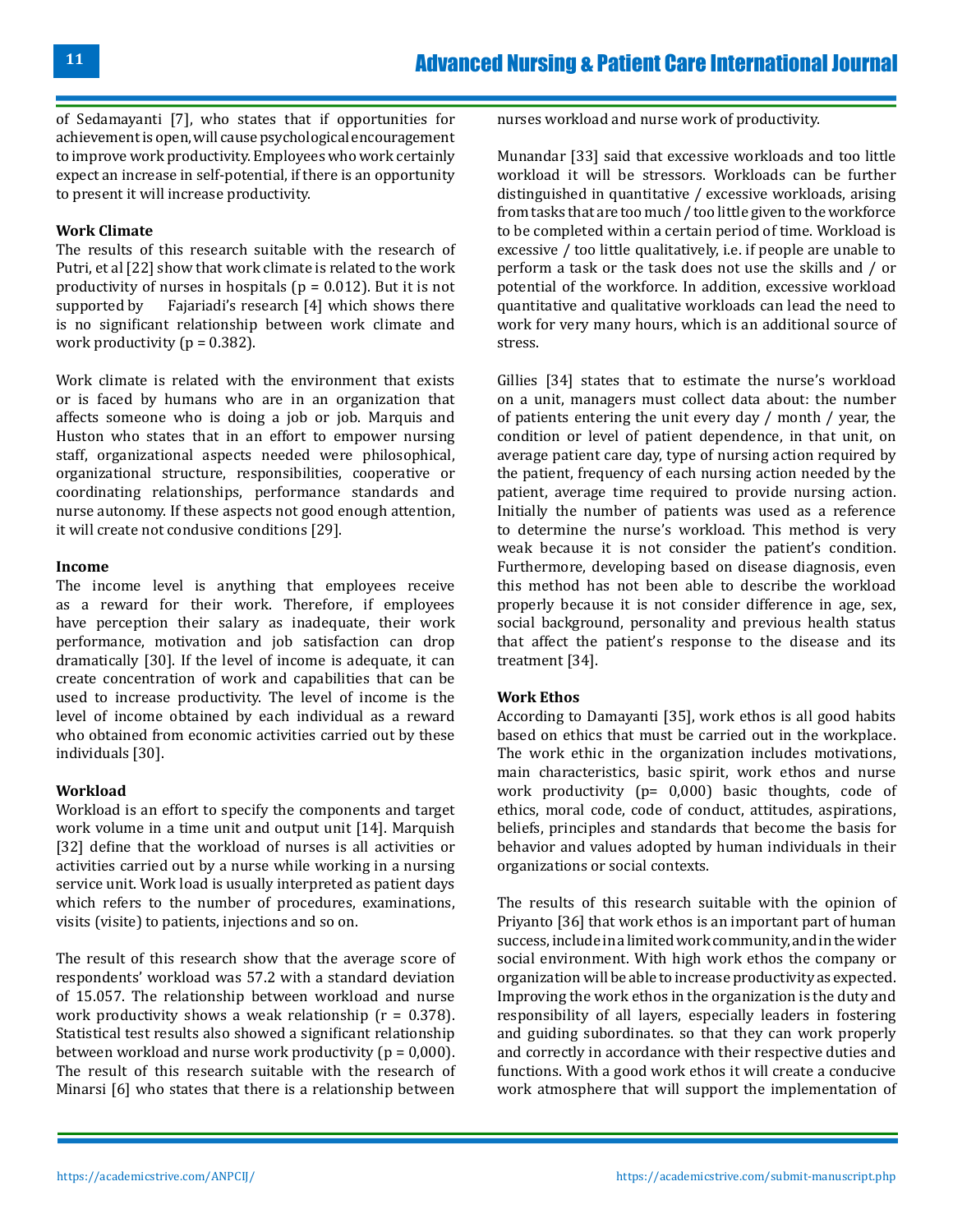of Sedamayanti [7], who states that if opportunities for achievement is open, will cause psychological encouragement to improve work productivity. Employees who work certainly expect an increase in self-potential, if there is an opportunity to present it will increase productivity.

### **Work Climate**

The results of this research suitable with the research of Putri, et al [22] show that work climate is related to the work productivity of nurses in hospitals ( $p = 0.012$ ). But it is not supported by Faiariadi's research [4] which shows there Fajariadi's research  $[4]$  which shows there is no significant relationship between work climate and work productivity ( $p = 0.382$ ).

Work climate is related with the environment that exists or is faced by humans who are in an organization that affects someone who is doing a job or job. Marquis and Huston who states that in an effort to empower nursing staff, organizational aspects needed were philosophical, organizational structure, responsibilities, cooperative or coordinating relationships, performance standards and nurse autonomy. If these aspects not good enough attention, it will create not condusive conditions [29].

#### **Income**

The income level is anything that employees receive as a reward for their work. Therefore, if employees have perception their salary as inadequate, their work performance, motivation and job satisfaction can drop dramatically [30]. If the level of income is adequate, it can create concentration of work and capabilities that can be used to increase productivity. The level of income is the level of income obtained by each individual as a reward who obtained from economic activities carried out by these individuals [30].

#### **Workload**

Workload is an effort to specify the components and target work volume in a time unit and output unit [14]. Marquish [32] define that the workload of nurses is all activities or activities carried out by a nurse while working in a nursing service unit. Work load is usually interpreted as patient days which refers to the number of procedures, examinations, visits (visite) to patients, injections and so on.

The result of this research show that the average score of respondents' workload was 57.2 with a standard deviation of 15.057. The relationship between workload and nurse work productivity shows a weak relationship  $(r = 0.378)$ . Statistical test results also showed a significant relationship between workload and nurse work productivity ( $p = 0.000$ ). The result of this research suitable with the research of Minarsi [6] who states that there is a relationship between nurses workload and nurse work of productivity.

Munandar [33] said that excessive workloads and too little workload it will be stressors. Workloads can be further distinguished in quantitative / excessive workloads, arising from tasks that are too much / too little given to the workforce to be completed within a certain period of time. Workload is excessive / too little qualitatively, i.e. if people are unable to perform a task or the task does not use the skills and / or potential of the workforce. In addition, excessive workload quantitative and qualitative workloads can lead the need to work for very many hours, which is an additional source of stress.

Gillies [34] states that to estimate the nurse's workload on a unit, managers must collect data about: the number of patients entering the unit every day / month / year, the condition or level of patient dependence, in that unit, on average patient care day, type of nursing action required by the patient, frequency of each nursing action needed by the patient, average time required to provide nursing action. Initially the number of patients was used as a reference to determine the nurse's workload. This method is very weak because it is not consider the patient's condition. Furthermore, developing based on disease diagnosis, even this method has not been able to describe the workload properly because it is not consider difference in age, sex, social background, personality and previous health status that affect the patient's response to the disease and its treatment [34].

#### **Work Ethos**

According to Damayanti [35], work ethos is all good habits based on ethics that must be carried out in the workplace. The work ethic in the organization includes motivations, main characteristics, basic spirit, work ethos and nurse work productivity (p= 0,000) basic thoughts, code of ethics, moral code, code of conduct, attitudes, aspirations, beliefs, principles and standards that become the basis for behavior and values adopted by human individuals in their organizations or social contexts.

The results of this research suitable with the opinion of Priyanto [36] that work ethos is an important part of human success, include in a limited work community, and in the wider social environment. With high work ethos the company or organization will be able to increase productivity as expected. Improving the work ethos in the organization is the duty and responsibility of all layers, especially leaders in fostering and guiding subordinates. so that they can work properly and correctly in accordance with their respective duties and functions. With a good work ethos it will create a conducive work atmosphere that will support the implementation of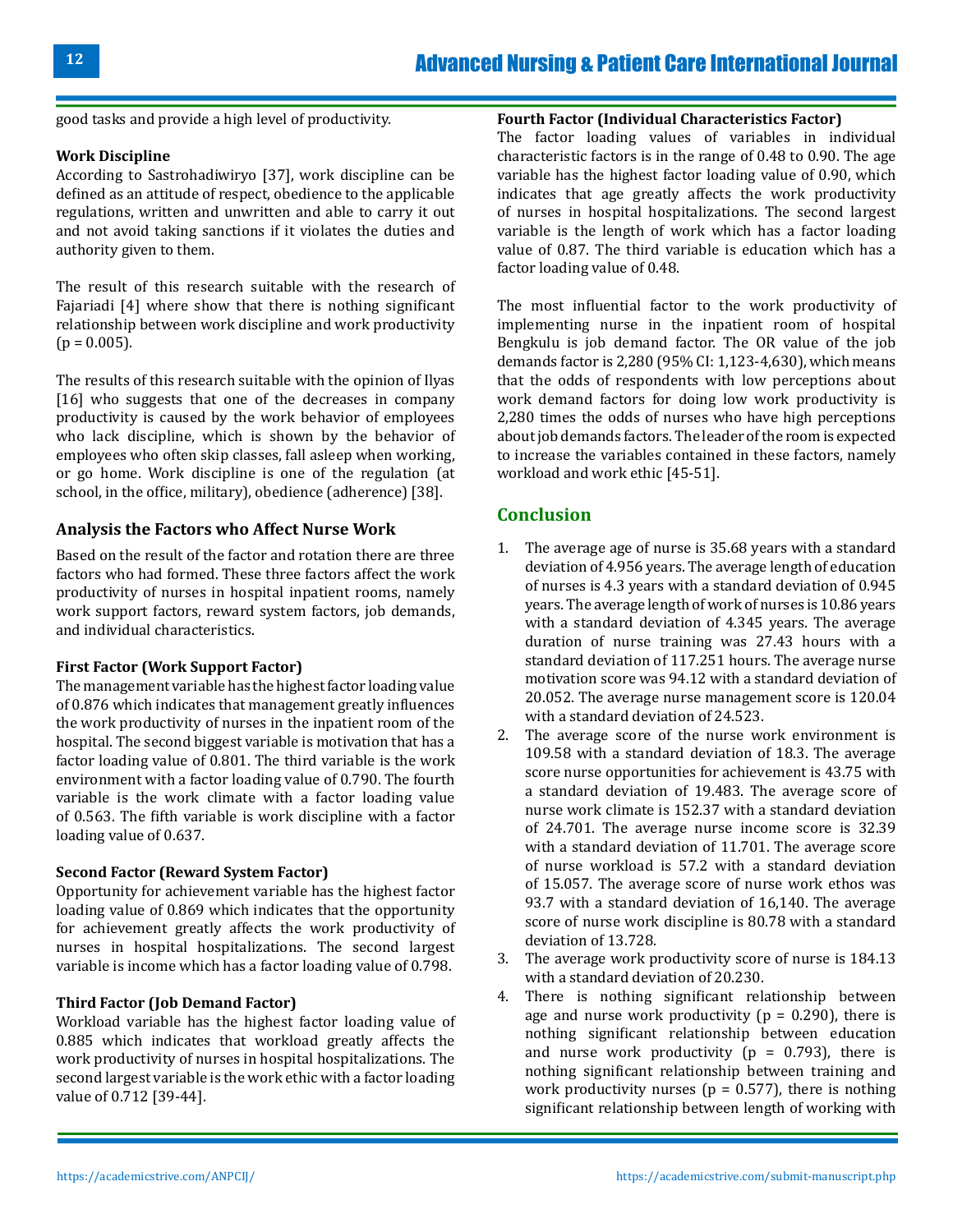good tasks and provide a high level of productivity.

### **Work Discipline**

According to Sastrohadiwiryo [37], work discipline can be defined as an attitude of respect, obedience to the applicable regulations, written and unwritten and able to carry it out and not avoid taking sanctions if it violates the duties and authority given to them.

The result of this research suitable with the research of Fajariadi [4] where show that there is nothing significant relationship between work discipline and work productivity  $(p = 0.005)$ .

The results of this research suitable with the opinion of Ilyas [16] who suggests that one of the decreases in company productivity is caused by the work behavior of employees who lack discipline, which is shown by the behavior of employees who often skip classes, fall asleep when working, or go home. Work discipline is one of the regulation (at school, in the office, military), obedience (adherence) [38].

### **Analysis the Factors who Affect Nurse Work**

Based on the result of the factor and rotation there are three factors who had formed. These three factors affect the work productivity of nurses in hospital inpatient rooms, namely work support factors, reward system factors, job demands, and individual characteristics.

#### **First Factor (Work Support Factor)**

The management variable has the highest factor loading value of 0.876 which indicates that management greatly influences the work productivity of nurses in the inpatient room of the hospital. The second biggest variable is motivation that has a factor loading value of 0.801. The third variable is the work environment with a factor loading value of 0.790. The fourth variable is the work climate with a factor loading value of 0.563. The fifth variable is work discipline with a factor loading value of 0.637.

#### **Second Factor (Reward System Factor)**

Opportunity for achievement variable has the highest factor loading value of 0.869 which indicates that the opportunity for achievement greatly affects the work productivity of nurses in hospital hospitalizations. The second largest variable is income which has a factor loading value of 0.798.

### **Third Factor (Job Demand Factor)**

Workload variable has the highest factor loading value of 0.885 which indicates that workload greatly affects the work productivity of nurses in hospital hospitalizations. The second largest variable is the work ethic with a factor loading value of 0.712 [39-44].

#### **Fourth Factor (Individual Characteristics Factor)**

The factor loading values of variables in individual characteristic factors is in the range of 0.48 to 0.90. The age variable has the highest factor loading value of 0.90, which indicates that age greatly affects the work productivity of nurses in hospital hospitalizations. The second largest variable is the length of work which has a factor loading value of 0.87. The third variable is education which has a factor loading value of 0.48.

The most influential factor to the work productivity of implementing nurse in the inpatient room of hospital Bengkulu is job demand factor. The OR value of the job demands factor is 2,280 (95% CI: 1,123-4,630), which means that the odds of respondents with low perceptions about work demand factors for doing low work productivity is 2,280 times the odds of nurses who have high perceptions about job demands factors. The leader of the room is expected to increase the variables contained in these factors, namely workload and work ethic [45-51].

# **Conclusion**

- 1. The average age of nurse is 35.68 years with a standard deviation of 4.956 years. The average length of education of nurses is 4.3 years with a standard deviation of 0.945 years. The average length of work of nurses is 10.86 years with a standard deviation of 4.345 years. The average duration of nurse training was 27.43 hours with a standard deviation of 117.251 hours. The average nurse motivation score was 94.12 with a standard deviation of 20.052. The average nurse management score is 120.04 with a standard deviation of 24.523.
- 2. The average score of the nurse work environment is 109.58 with a standard deviation of 18.3. The average score nurse opportunities for achievement is 43.75 with a standard deviation of 19.483. The average score of nurse work climate is 152.37 with a standard deviation of 24.701. The average nurse income score is 32.39 with a standard deviation of 11.701. The average score of nurse workload is 57.2 with a standard deviation of 15.057. The average score of nurse work ethos was 93.7 with a standard deviation of 16,140. The average score of nurse work discipline is 80.78 with a standard deviation of 13.728.
- 3. The average work productivity score of nurse is 184.13 with a standard deviation of 20.230.
- 4. There is nothing significant relationship between age and nurse work productivity ( $p = 0.290$ ), there is nothing significant relationship between education and nurse work productivity ( $p = 0.793$ ), there is nothing significant relationship between training and work productivity nurses ( $p = 0.577$ ), there is nothing significant relationship between length of working with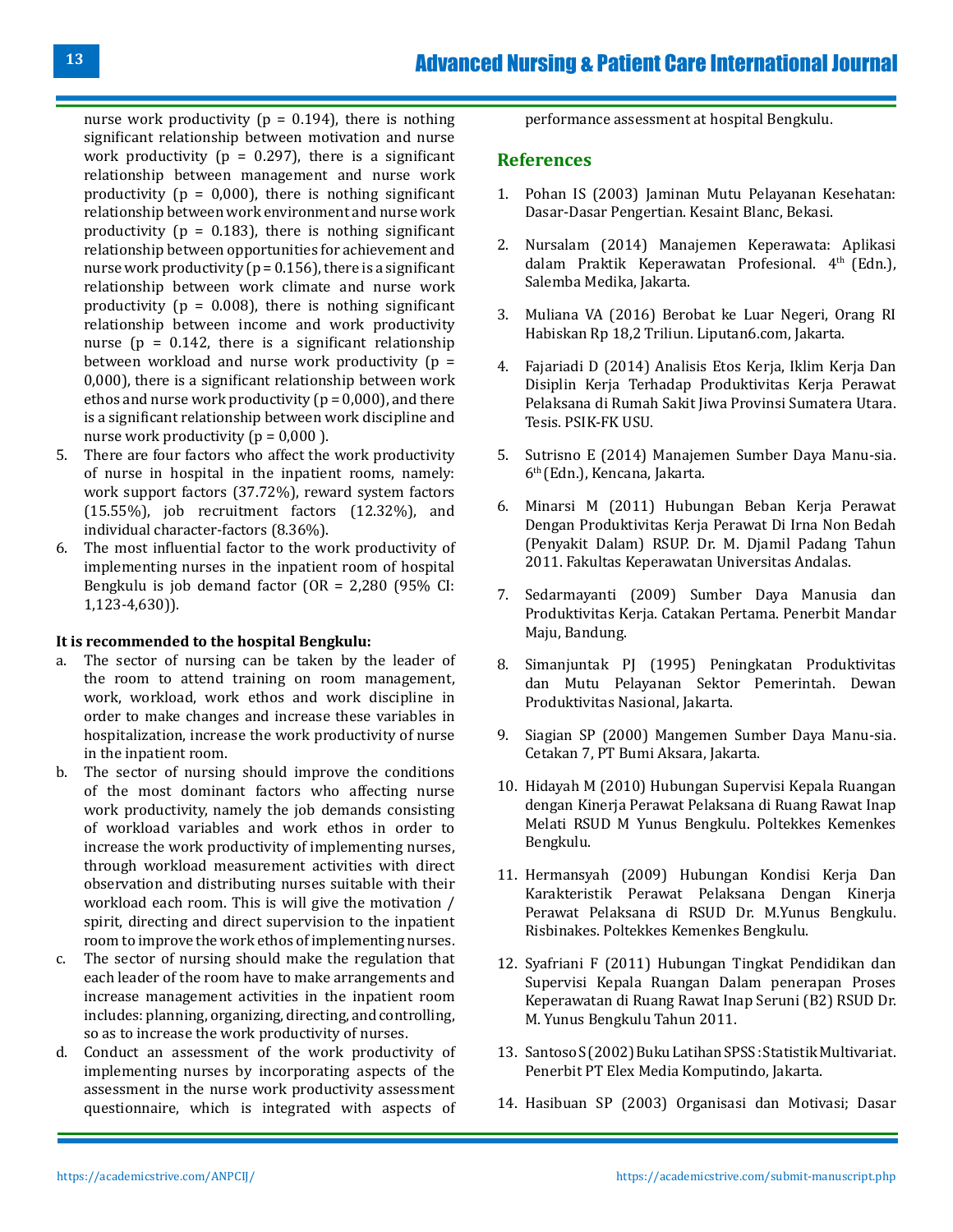nurse work productivity ( $p = 0.194$ ), there is nothing significant relationship between motivation and nurse work productivity ( $p = 0.297$ ), there is a significant relationship between management and nurse work productivity ( $p = 0.000$ ), there is nothing significant relationship between work environment and nurse work productivity ( $p = 0.183$ ), there is nothing significant relationship between opportunities for achievement and nurse work productivity ( $p = 0.156$ ), there is a significant relationship between work climate and nurse work productivity ( $p = 0.008$ ), there is nothing significant relationship between income and work productivity nurse ( $p = 0.142$ , there is a significant relationship between workload and nurse work productivity  $(p =$ 0,000), there is a significant relationship between work ethos and nurse work productivity ( $p = 0,000$ ), and there is a significant relationship between work discipline and nurse work productivity ( $p = 0.000$ ).

- 5. There are four factors who affect the work productivity of nurse in hospital in the inpatient rooms, namely: work support factors (37.72%), reward system factors (15.55%), job recruitment factors (12.32%), and individual character-factors (8.36%).
- 6. The most influential factor to the work productivity of implementing nurses in the inpatient room of hospital Bengkulu is job demand factor (OR = 2,280 (95% CI: 1,123-4,630)).

#### **It is recommended to the hospital Bengkulu:**

- a. The sector of nursing can be taken by the leader of the room to attend training on room management, work, workload, work ethos and work discipline in order to make changes and increase these variables in hospitalization, increase the work productivity of nurse in the inpatient room.
- b. The sector of nursing should improve the conditions of the most dominant factors who affecting nurse work productivity, namely the job demands consisting of workload variables and work ethos in order to increase the work productivity of implementing nurses, through workload measurement activities with direct observation and distributing nurses suitable with their workload each room. This is will give the motivation / spirit, directing and direct supervision to the inpatient room to improve the work ethos of implementing nurses.
- c. The sector of nursing should make the regulation that each leader of the room have to make arrangements and increase management activities in the inpatient room includes: planning, organizing, directing, and controlling, so as to increase the work productivity of nurses.
- d. Conduct an assessment of the work productivity of implementing nurses by incorporating aspects of the assessment in the nurse work productivity assessment questionnaire, which is integrated with aspects of

performance assessment at hospital Bengkulu.

#### **References**

- 1. Pohan IS (2003) Jaminan Mutu Pelayanan Kesehatan: Dasar-Dasar Pengertian. Kesaint Blanc, Bekasi.
- 2. [Nursalam \(2014\) Manajemen Keperawata: Aplikasi](http://perpus.stiehidayatullah.ac.id/file_ebook/Manajemen%20Keperawatan:%20Aplikasi%20dalam%20Praktik%20Keperawatan%20Profesional%20Edisi%204.pdf) [dalam Praktik Keperawatan Profesional. 4](http://perpus.stiehidayatullah.ac.id/file_ebook/Manajemen%20Keperawatan:%20Aplikasi%20dalam%20Praktik%20Keperawatan%20Profesional%20Edisi%204.pdf)th (Edn.), [Salemba Medika, Jakarta.](http://perpus.stiehidayatullah.ac.id/file_ebook/Manajemen%20Keperawatan:%20Aplikasi%20dalam%20Praktik%20Keperawatan%20Profesional%20Edisi%204.pdf)
- 3. Muliana VA (2016) Berobat ke Luar Negeri, Orang RI Habiskan Rp 18,2 Triliun. Liputan6.com, Jakarta.
- 4. Fajariadi D (2014) Analisis Etos Kerja, Iklim Kerja Dan Disiplin Kerja Terhadap Produktivitas Kerja Perawat Pelaksana di Rumah Sakit Jiwa Provinsi Sumatera Utara. Tesis. PSIK-FK USU.
- 5. Sutrisno E (2014) Manajemen Sumber Daya Manu-sia. 6th (Edn.), Kencana, Jakarta.
- 6. [Minarsi M \(2011\) Hubungan Beban Kerja Perawat](http://repo.unand.ac.id/217/)  [Dengan Produktivitas Kerja Perawat Di Irna Non Bedah](http://repo.unand.ac.id/217/) [\(Penyakit Dalam\) RSUP. Dr. M. Djamil Padang Tahun](http://repo.unand.ac.id/217/)  [2011. Fakultas Keperawatan Universitas Andalas.](http://repo.unand.ac.id/217/)
- 7. Sedarmayanti (2009) Sumber Daya Manusia dan Produktivitas Kerja. Catakan Pertama. Penerbit Mandar Maju, Bandung.
- 8. Simanjuntak PJ (1995) Peningkatan Produktivitas dan Mutu Pelayanan Sektor Pemerintah. Dewan Produktivitas Nasional, Jakarta.
- 9. Siagian SP (2000) Mangemen Sumber Daya Manu-sia. Cetakan 7, PT Bumi Aksara, Jakarta.
- 10. Hidayah M (2010) Hubungan Supervisi Kepala Ruangan dengan Kinerja Perawat Pelaksana di Ruang Rawat Inap Melati RSUD M Yunus Bengkulu. Poltekkes Kemenkes Bengkulu.
- 11. Hermansyah (2009) Hubungan Kondisi Kerja Dan Karakteristik Perawat Pelaksana Dengan Kinerja Perawat Pelaksana di RSUD Dr. M.Yunus Bengkulu. Risbinakes. Poltekkes Kemenkes Bengkulu.
- 12. Syafriani F (2011) Hubungan Tingkat Pendidikan dan Supervisi Kepala Ruangan Dalam penerapan Proses Keperawatan di Ruang Rawat Inap Seruni (B2) RSUD Dr. M. Yunus Bengkulu Tahun 2011.
- 13. Santoso S (2002) Buku Latihan SPSS : Statistik Multivariat. Penerbit PT Elex Media Komputindo, Jakarta.
- 14. Hasibuan SP (2003) Organisasi dan Motivasi; Dasar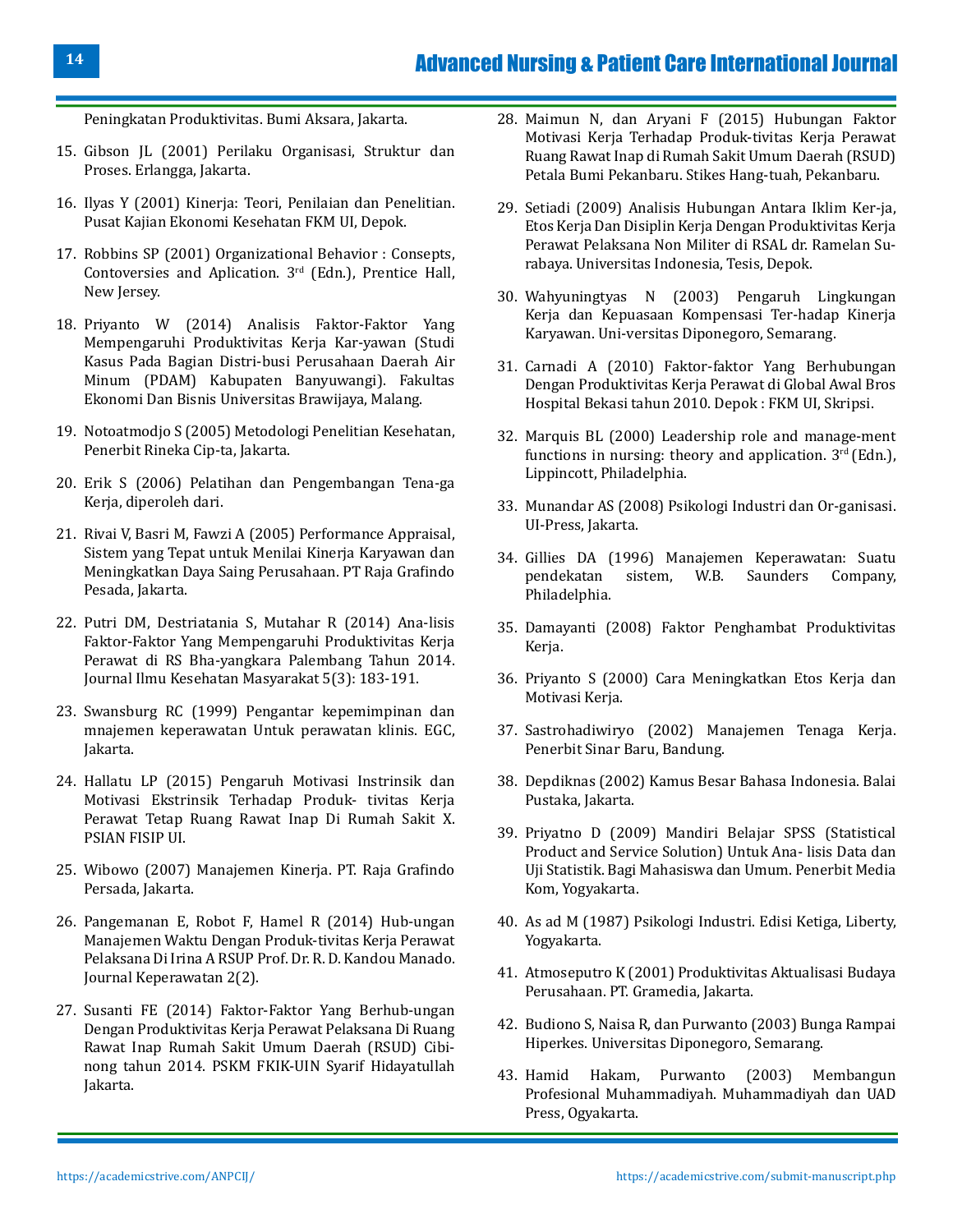Peningkatan Produktivitas. Bumi Aksara, Jakarta.

- 15. Gibson JL (2001) Perilaku Organisasi, Struktur dan Proses. Erlangga, Jakarta.
- 16. Ilyas Y (2001) Kinerja: Teori, Penilaian dan Penelitian. Pusat Kajian Ekonomi Kesehatan FKM UI, Depok.
- 17. Robbins SP (2001) Organizational Behavior : Consepts, Contoversies and Aplication. 3rd (Edn.), Prentice Hall, New Jersey.
- 18. Priyanto W (2014) Analisis Faktor-Faktor Yang Mempengaruhi Produktivitas Kerja Kar-yawan (Studi Kasus Pada Bagian Distri-busi Perusahaan Daerah Air Minum (PDAM) Kabupaten Banyuwangi). Fakultas Ekonomi Dan Bisnis Universitas Brawijaya, Malang.
- 19. Notoatmodjo S (2005) Metodologi Penelitian Kesehatan, Penerbit Rineka Cip-ta, Jakarta.
- 20. Erik S (2006) Pelatihan dan Pengembangan Tena-ga Kerja, diperoleh dari.
- 21. Rivai V, Basri M, Fawzi A (2005) Performance Appraisal, Sistem yang Tepat untuk Menilai Kinerja Karyawan dan Meningkatkan Daya Saing Perusahaan. PT Raja Grafindo Pesada, Jakarta.
- 22. [Putri DM, Destriatania S, Mutahar R \(2014\) Ana-lisis](https://repository.unsri.ac.id/14359/1/4..pdf) [Faktor-Faktor Yang Mempengaruhi Produktivitas Kerja](https://repository.unsri.ac.id/14359/1/4..pdf) [Perawat di RS Bha-yangkara Palembang Tahun 2014.](https://repository.unsri.ac.id/14359/1/4..pdf) [Journal Ilmu Kesehatan Masyarakat 5\(3\): 183-191.](https://repository.unsri.ac.id/14359/1/4..pdf)
- 23. Swansburg RC (1999) Pengantar kepemimpinan dan mnajemen keperawatan Untuk perawatan klinis. EGC, Jakarta.
- 24. Hallatu LP (2015) Pengaruh Motivasi Instrinsik dan Motivasi Ekstrinsik Terhadap Produk- tivitas Kerja Perawat Tetap Ruang Rawat Inap Di Rumah Sakit X. PSIAN FISIP UI.
- 25. Wibowo (2007) Manajemen Kinerja. PT. Raja Grafindo Persada, Jakarta.
- 26. [Pangemanan E, Robot F, Hamel R \(2014\) Hub-ungan](https://ejournal.unsrat.ac.id/index.php/jkp/article/view/5161) [Manajemen Waktu Dengan Produk-tivitas Kerja Perawat](https://ejournal.unsrat.ac.id/index.php/jkp/article/view/5161) [Pelaksana Di Irina A RSUP Prof. Dr. R. D. Kandou Manado.](https://ejournal.unsrat.ac.id/index.php/jkp/article/view/5161) [Journal Keperawatan 2\(2\).](https://ejournal.unsrat.ac.id/index.php/jkp/article/view/5161)
- 27. Susanti FE (2014) Faktor-Faktor Yang Berhub-ungan Dengan Produktivitas Kerja Perawat Pelaksana Di Ruang Rawat Inap Rumah Sakit Umum Daerah (RSUD) Cibinong tahun 2014. PSKM FKIK-UIN Syarif Hidayatullah Jakarta.
- 28. Maimun N, dan Aryani F (2015) Hubungan Faktor Motivasi Kerja Terhadap Produk-tivitas Kerja Perawat Ruang Rawat Inap di Rumah Sakit Umum Daerah (RSUD) Petala Bumi Pekanbaru. Stikes Hang-tuah, Pekanbaru.
- 29. Setiadi (2009) Analisis Hubungan Antara Iklim Ker-ja, Etos Kerja Dan Disiplin Kerja Dengan Produktivitas Kerja Perawat Pelaksana Non Militer di RSAL dr. Ramelan Surabaya. Universitas Indonesia, Tesis, Depok.
- 30. Wahyuningtyas N (2003) Pengaruh Lingkungan Kerja dan Kepuasaan Kompensasi Ter-hadap Kinerja Karyawan. Uni-versitas Diponegoro, Semarang.
- 31. [Carnadi A \(2010\) Faktor-faktor Yang Berhubungan](https://repository.uinjkt.ac.id/dspace/bitstream/123456789/25556/1/FITRIA%20ARYANI%20SUSANTI%20-%20fkik.pdf)  [Dengan Produktivitas Kerja Perawat di Global Awal Bros](https://repository.uinjkt.ac.id/dspace/bitstream/123456789/25556/1/FITRIA%20ARYANI%20SUSANTI%20-%20fkik.pdf) [Hospital Bekasi tahun 2010. Depok : FKM UI, Skripsi.](https://repository.uinjkt.ac.id/dspace/bitstream/123456789/25556/1/FITRIA%20ARYANI%20SUSANTI%20-%20fkik.pdf)
- 32. Marquis BL (2000) Leadership role and manage-ment functions in nursing: theory and application.  $3<sup>rd</sup>$  (Edn.), Lippincott, Philadelphia.
- 33. Munandar AS (2008) Psikologi Industri dan Or-ganisasi. UI-Press, Jakarta.
- 34. Gillies DA (1996) Manajemen Keperawatan: Suatu pendekatan sistem, W.B. Philadelphia.
- 35. Damayanti (2008) Faktor Penghambat Produktivitas Kerja.
- 36. Priyanto S (2000) Cara Meningkatkan Etos Kerja dan Motivasi Kerja.
- 37. Sastrohadiwiryo (2002) Manajemen Tenaga Kerja. Penerbit Sinar Baru, Bandung.
- 38. Depdiknas (2002) Kamus Besar Bahasa Indonesia. Balai Pustaka, Jakarta.
- 39. Priyatno D (2009) Mandiri Belajar SPSS (Statistical Product and Service Solution) Untuk Ana- lisis Data dan Uji Statistik. Bagi Mahasiswa dan Umum. Penerbit Media Kom, Yogyakarta.
- 40. As ad M (1987) Psikologi Industri. Edisi Ketiga, Liberty, Yogyakarta.
- 41. Atmoseputro K (2001) Produktivitas Aktualisasi Budaya Perusahaan. PT. Gramedia, Jakarta.
- 42. Budiono S, Naisa R, dan Purwanto (2003) Bunga Rampai Hiperkes. Universitas Diponegoro, Semarang.
- 43. Hamid Hakam, Purwanto (2003) Membangun Profesional Muhammadiyah. Muhammadiyah dan UAD Press, Ogyakarta.